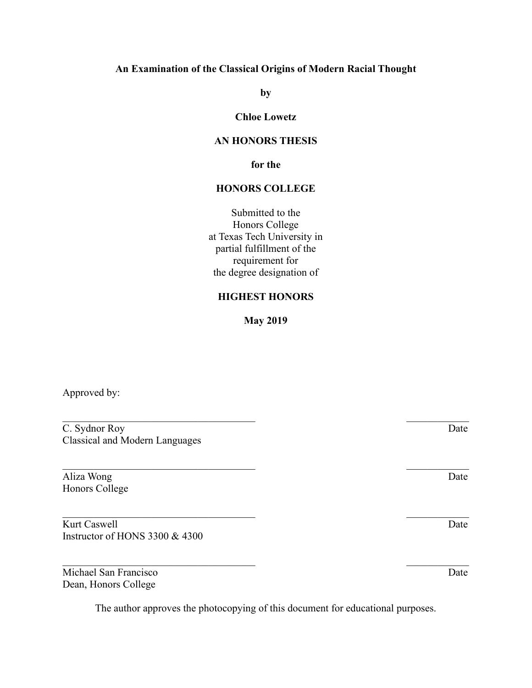### **An Examination of the Classical Origins of Modern Racial Thought**

**by**

### **Chloe Lowetz**

### **AN HONORS THESIS**

**for the**

### **HONORS COLLEGE**

Submitted to the Honors College at Texas Tech University in partial fulfillment of the requirement for the degree designation of

#### **HIGHEST HONORS**

**May 2019**

 $\mathcal{L}_\text{max}$  , and the contract of the contract of the contract of the contract of the contract of the contract of the contract of the contract of the contract of the contract of the contract of the contract of the contr

 $\mathcal{L}_\text{max}$  , and the contract of the contract of the contract of the contract of the contract of the contract of the contract of the contract of the contract of the contract of the contract of the contract of the contr

Approved by:

C. Sydnor Roy Date Classical and Modern Languages

Aliza Wong Date Honors College

Kurt Caswell Date Instructor of HONS 3300 & 4300

Michael San Francisco Date Dean, Honors College

The author approves the photocopying of this document for educational purposes.

 $\mathcal{L}_\text{max} = \mathcal{L}_\text{max} = \mathcal{L}_\text{max} = \mathcal{L}_\text{max} = \mathcal{L}_\text{max} = \mathcal{L}_\text{max} = \mathcal{L}_\text{max} = \mathcal{L}_\text{max} = \mathcal{L}_\text{max} = \mathcal{L}_\text{max} = \mathcal{L}_\text{max} = \mathcal{L}_\text{max} = \mathcal{L}_\text{max} = \mathcal{L}_\text{max} = \mathcal{L}_\text{max} = \mathcal{L}_\text{max} = \mathcal{L}_\text{max} = \mathcal{L}_\text{max} = \mathcal{$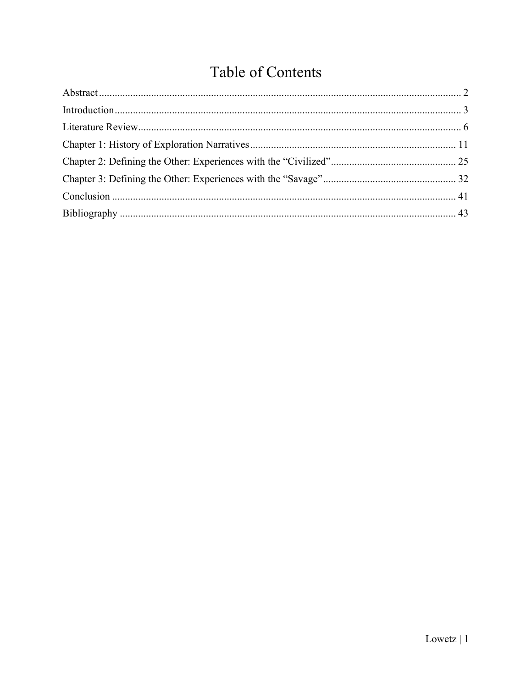# Table of Contents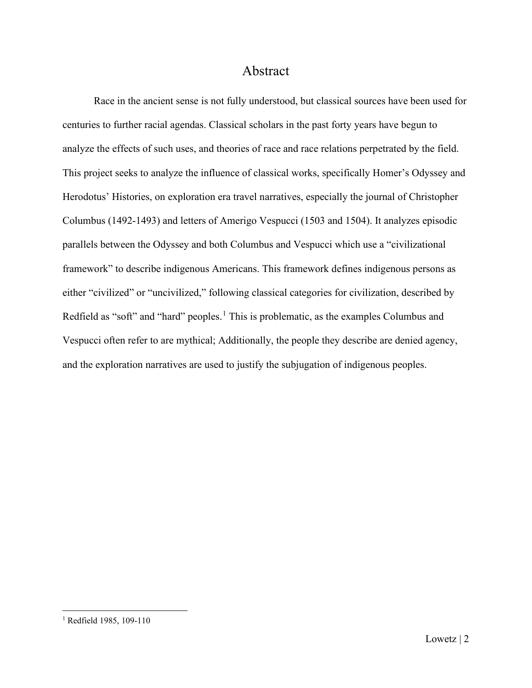## Abstract

<span id="page-2-0"></span>Race in the ancient sense is not fully understood, but classical sources have been used for centuries to further racial agendas. Classical scholars in the past forty years have begun to analyze the effects of such uses, and theories of race and race relations perpetrated by the field. This project seeks to analyze the influence of classical works, specifically Homer's Odyssey and Herodotus' Histories, on exploration era travel narratives, especially the journal of Christopher Columbus (1492-1493) and letters of Amerigo Vespucci (1503 and 1504). It analyzes episodic parallels between the Odyssey and both Columbus and Vespucci which use a "civilizational framework" to describe indigenous Americans. This framework defines indigenous persons as either "civilized" or "uncivilized," following classical categories for civilization, described by Redfield as "soft" and "hard" peoples.<sup>[1](#page-2-1)</sup> This is problematic, as the examples Columbus and Vespucci often refer to are mythical; Additionally, the people they describe are denied agency, and the exploration narratives are used to justify the subjugation of indigenous peoples.

<span id="page-2-1"></span><sup>&</sup>lt;sup>1</sup> Redfield 1985, 109-110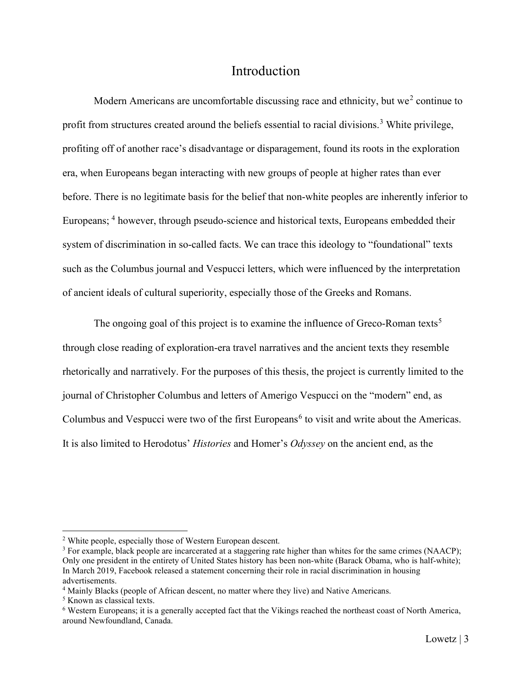# **Introduction**

<span id="page-3-0"></span>Modern Americans are uncomfortable discussing race and ethnicity, but we<sup>[2](#page-3-1)</sup> continue to profit from structures created around the beliefs essential to racial divisions.<sup>[3](#page-3-2)</sup> White privilege, profiting off of another race's disadvantage or disparagement, found its roots in the exploration era, when Europeans began interacting with new groups of people at higher rates than ever before. There is no legitimate basis for the belief that non-white peoples are inherently inferior to Europeans; <sup>[4](#page-3-3)</sup> however, through pseudo-science and historical texts, Europeans embedded their system of discrimination in so-called facts. We can trace this ideology to "foundational" texts such as the Columbus journal and Vespucci letters, which were influenced by the interpretation of ancient ideals of cultural superiority, especially those of the Greeks and Romans.

The ongoing goal of this project is to examine the influence of Greco-Roman texts<sup>[5](#page-3-4)</sup> through close reading of exploration-era travel narratives and the ancient texts they resemble rhetorically and narratively. For the purposes of this thesis, the project is currently limited to the journal of Christopher Columbus and letters of Amerigo Vespucci on the "modern" end, as Columbus and Vespucci were two of the first Europeans<sup>[6](#page-3-5)</sup> to visit and write about the Americas. It is also limited to Herodotus' *Histories* and Homer's *Odyssey* on the ancient end, as the

<span id="page-3-1"></span><sup>2</sup> White people, especially those of Western European descent.

<span id="page-3-2"></span><sup>&</sup>lt;sup>3</sup> For example, black people are incarcerated at a staggering rate higher than whites for the same crimes (NAACP); Only one president in the entirety of United States history has been non-white (Barack Obama, who is half-white); In March 2019, Facebook released a statement concerning their role in racial discrimination in housing advertisements.

<span id="page-3-3"></span><sup>4</sup> Mainly Blacks (people of African descent, no matter where they live) and Native Americans.

<span id="page-3-4"></span><sup>5</sup> Known as classical texts.

<span id="page-3-5"></span><sup>6</sup> Western Europeans; it is a generally accepted fact that the Vikings reached the northeast coast of North America, around Newfoundland, Canada.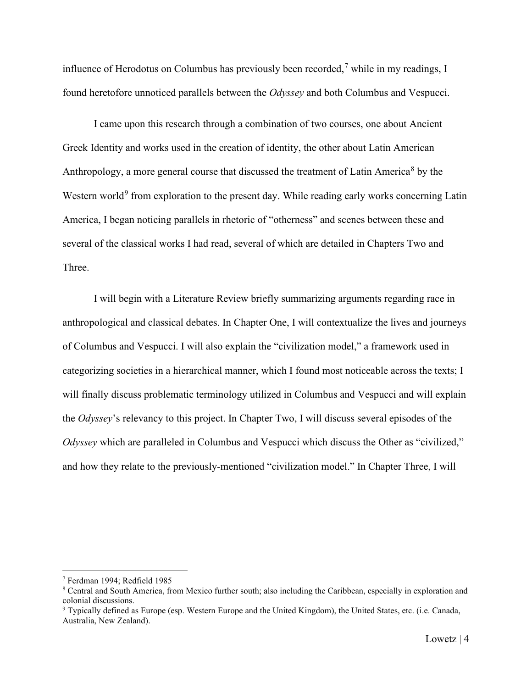influence of Herodotus on Columbus has previously been recorded,<sup>[7](#page-4-0)</sup> while in my readings, I found heretofore unnoticed parallels between the *Odyssey* and both Columbus and Vespucci.

I came upon this research through a combination of two courses, one about Ancient Greek Identity and works used in the creation of identity, the other about Latin American Anthropology, a more general course that discussed the treatment of Latin America<sup>[8](#page-4-1)</sup> by the Western world<sup>[9](#page-4-2)</sup> from exploration to the present day. While reading early works concerning Latin America, I began noticing parallels in rhetoric of "otherness" and scenes between these and several of the classical works I had read, several of which are detailed in Chapters Two and Three.

I will begin with a Literature Review briefly summarizing arguments regarding race in anthropological and classical debates. In Chapter One, I will contextualize the lives and journeys of Columbus and Vespucci. I will also explain the "civilization model," a framework used in categorizing societies in a hierarchical manner, which I found most noticeable across the texts; I will finally discuss problematic terminology utilized in Columbus and Vespucci and will explain the *Odyssey*'s relevancy to this project. In Chapter Two, I will discuss several episodes of the *Odyssey* which are paralleled in Columbus and Vespucci which discuss the Other as "civilized," and how they relate to the previously-mentioned "civilization model." In Chapter Three, I will

<span id="page-4-0"></span><sup>7</sup> Ferdman 1994; Redfield 1985

<span id="page-4-1"></span><sup>8</sup> Central and South America, from Mexico further south; also including the Caribbean, especially in exploration and colonial discussions.

<span id="page-4-2"></span><sup>&</sup>lt;sup>9</sup> Typically defined as Europe (esp. Western Europe and the United Kingdom), the United States, etc. (i.e. Canada, Australia, New Zealand).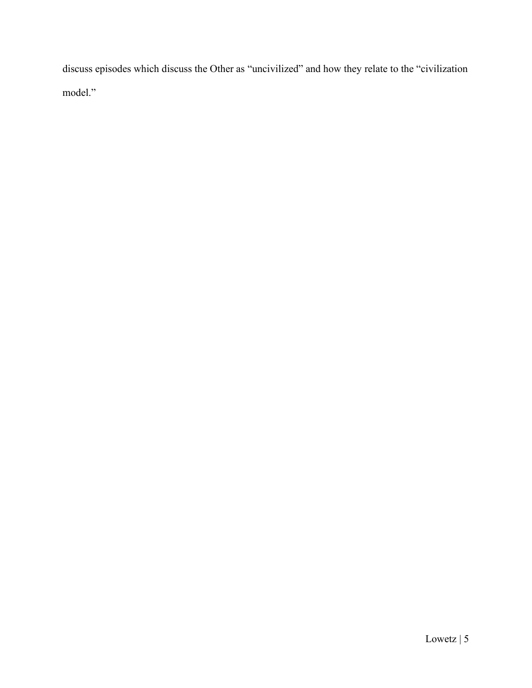discuss episodes which discuss the Other as "uncivilized" and how they relate to the "civilization model."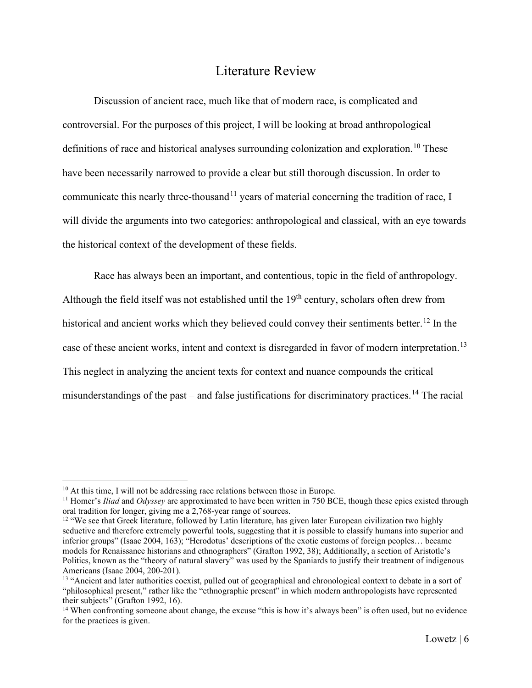# Literature Review

<span id="page-6-0"></span>Discussion of ancient race, much like that of modern race, is complicated and controversial. For the purposes of this project, I will be looking at broad anthropological definitions of race and historical analyses surrounding colonization and exploration.<sup>[10](#page-6-1)</sup> These have been necessarily narrowed to provide a clear but still thorough discussion. In order to communicate this nearly three-thousand<sup>[11](#page-6-2)</sup> years of material concerning the tradition of race, I will divide the arguments into two categories: anthropological and classical, with an eye towards the historical context of the development of these fields.

Race has always been an important, and contentious, topic in the field of anthropology. Although the field itself was not established until the  $19<sup>th</sup>$  century, scholars often drew from historical and ancient works which they believed could convey their sentiments better.<sup>[12](#page-6-3)</sup> In the case of these ancient works, intent and context is disregarded in favor of modern interpretation.<sup>[13](#page-6-4)</sup> This neglect in analyzing the ancient texts for context and nuance compounds the critical misunderstandings of the past – and false justifications for discriminatory practices.<sup>[14](#page-6-5)</sup> The racial

<span id="page-6-1"></span> $10$  At this time, I will not be addressing race relations between those in Europe.

<span id="page-6-2"></span><sup>11</sup> Homer's *Iliad* and *Odyssey* are approximated to have been written in 750 BCE, though these epics existed through oral tradition for longer, giving me a 2,768-year range of sources.

<span id="page-6-3"></span><sup>&</sup>lt;sup>12</sup> "We see that Greek literature, followed by Latin literature, has given later European civilization two highly seductive and therefore extremely powerful tools, suggesting that it is possible to classify humans into superior and inferior groups" (Isaac 2004, 163); "Herodotus' descriptions of the exotic customs of foreign peoples… became models for Renaissance historians and ethnographers" (Grafton 1992, 38); Additionally, a section of Aristotle's Politics, known as the "theory of natural slavery" was used by the Spaniards to justify their treatment of indigenous Americans (Isaac 2004, 200-201).

<span id="page-6-4"></span><sup>&</sup>lt;sup>13</sup> "Ancient and later authorities coexist, pulled out of geographical and chronological context to debate in a sort of "philosophical present," rather like the "ethnographic present" in which modern anthropologists have represented their subjects" (Grafton 1992, 16).

<span id="page-6-5"></span><sup>&</sup>lt;sup>14</sup> When confronting someone about change, the excuse "this is how it's always been" is often used, but no evidence for the practices is given.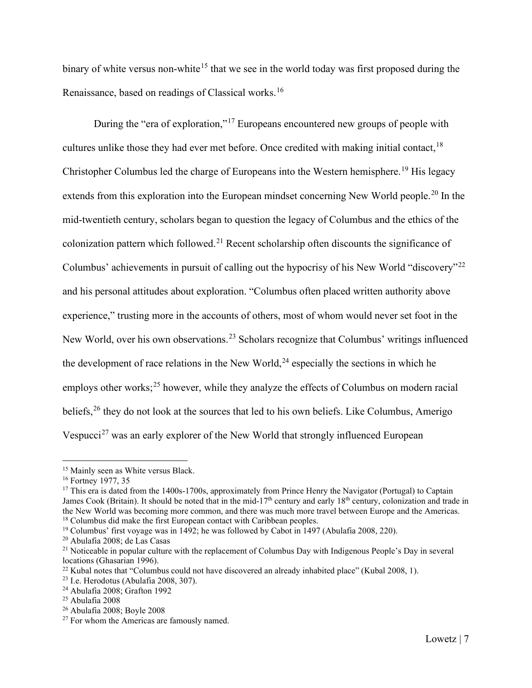binary of white versus non-white<sup>[15](#page-7-0)</sup> that we see in the world today was first proposed during the Renaissance, based on readings of Classical works.[16](#page-7-1)

During the "era of exploration,"[17](#page-7-2) Europeans encountered new groups of people with cultures unlike those they had ever met before. Once credited with making initial contact,<sup>[18](#page-7-3)</sup> Christopher Columbus led the charge of Europeans into the Western hemisphere.<sup>[19](#page-7-4)</sup> His legacy extends from this exploration into the European mindset concerning New World people.<sup>[20](#page-7-5)</sup> In the mid-twentieth century, scholars began to question the legacy of Columbus and the ethics of the colonization pattern which followed.<sup>[21](#page-7-6)</sup> Recent scholarship often discounts the significance of Columbus' achievements in pursuit of calling out the hypocrisy of his New World "discovery"[22](#page-7-7) and his personal attitudes about exploration. "Columbus often placed written authority above experience," trusting more in the accounts of others, most of whom would never set foot in the New World, over his own observations.<sup>[23](#page-7-8)</sup> Scholars recognize that Columbus' writings influenced the development of race relations in the New World,<sup>[24](#page-7-9)</sup> especially the sections in which he employs other works;<sup>[25](#page-7-10)</sup> however, while they analyze the effects of Columbus on modern racial beliefs,<sup>[26](#page-7-11)</sup> they do not look at the sources that led to his own beliefs. Like Columbus, Amerigo Vespucci<sup>[27](#page-7-12)</sup> was an early explorer of the New World that strongly influenced European

<span id="page-7-0"></span><sup>&</sup>lt;sup>15</sup> Mainly seen as White versus Black.

<span id="page-7-1"></span><sup>&</sup>lt;sup>16</sup> Fortney 1977, 35

<span id="page-7-2"></span> $17$  This era is dated from the 1400s-1700s, approximately from Prince Henry the Navigator (Portugal) to Captain James Cook (Britain). It should be noted that in the mid-17<sup>th</sup> century and early 18<sup>th</sup> century, colonization and trade in the New World was becoming more common, and there was much more travel between Europe and the Americas.<br><sup>18</sup> Columbus did make the first European contact with Caribbean peoples.

<span id="page-7-4"></span><span id="page-7-3"></span><sup>&</sup>lt;sup>19</sup> Columbus' first voyage was in 1492; he was followed by Cabot in 1497 (Abulafia 2008, 220).

<span id="page-7-5"></span><sup>20</sup> Abulafia 2008; de Las Casas

<span id="page-7-6"></span><sup>&</sup>lt;sup>21</sup> Noticeable in popular culture with the replacement of Columbus Day with Indigenous People's Day in several locations (Ghasarian 1996).

<span id="page-7-7"></span><sup>&</sup>lt;sup>22</sup> Kubal notes that "Columbus could not have discovered an already inhabited place" (Kubal 2008, 1).

<span id="page-7-8"></span> $23$  I.e. Herodotus (Abulafia 2008, 307).

<span id="page-7-9"></span><sup>24</sup> Abulafia 2008; Grafton 1992

<span id="page-7-10"></span> $25$  Abulafia 2008

<span id="page-7-11"></span><sup>26</sup> Abulafia 2008; Boyle 2008

<span id="page-7-12"></span> $27$  For whom the Americas are famously named.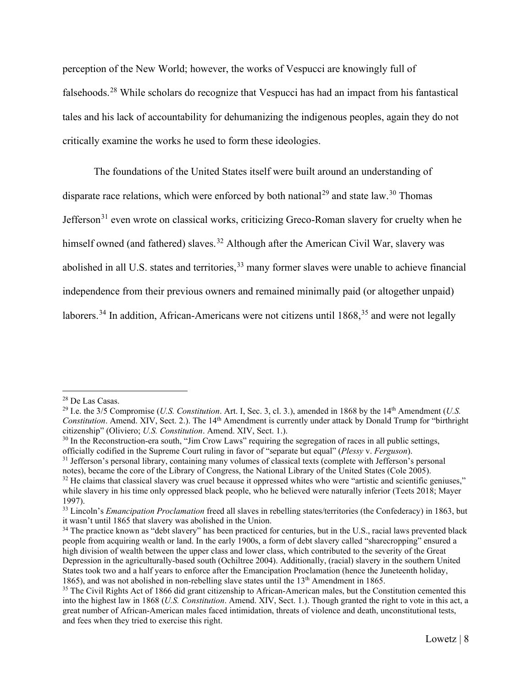perception of the New World; however, the works of Vespucci are knowingly full of falsehoods.[28](#page-8-0) While scholars do recognize that Vespucci has had an impact from his fantastical tales and his lack of accountability for dehumanizing the indigenous peoples, again they do not critically examine the works he used to form these ideologies.

The foundations of the United States itself were built around an understanding of disparate race relations, which were enforced by both national<sup>[29](#page-8-1)</sup> and state law.<sup>[30](#page-8-2)</sup> Thomas Jefferson<sup>[31](#page-8-3)</sup> even wrote on classical works, criticizing Greco-Roman slavery for cruelty when he himself owned (and fathered) slaves.<sup>[32](#page-8-4)</sup> Although after the American Civil War, slavery was abolished in all U.S. states and territories,<sup>[33](#page-8-5)</sup> many former slaves were unable to achieve financial independence from their previous owners and remained minimally paid (or altogether unpaid) laborers.<sup>[34](#page-8-6)</sup> In addition, African-Americans were not citizens until  $1868$ <sup>[35](#page-8-7)</sup> and were not legally

<span id="page-8-0"></span><sup>28</sup> De Las Casas.

<span id="page-8-1"></span><sup>29</sup> I.e. the 3/5 Compromise (*U.S. Constitution*. Art. I, Sec. 3, cl. 3.), amended in 1868 by the 14th Amendment (*U.S. Constitution*. Amend. XIV, Sect. 2.). The 14<sup>th</sup> Amendment is currently under attack by Donald Trump for "birthright citizenship" (Oliviero; *U.S. Constitution*. Amend. XIV, Sect. 1.).

<span id="page-8-2"></span><sup>&</sup>lt;sup>30</sup> In the Reconstruction-era south, "Jim Crow Laws" requiring the segregation of races in all public settings, officially codified in the Supreme Court ruling in favor of "separate but equal" (*Plessy* v. *Ferguson*).

<span id="page-8-3"></span><sup>&</sup>lt;sup>31</sup> Jefferson's personal library, containing many volumes of classical texts (complete with Jefferson's personal

notes), became the core of the Library of Congress, the National Library of the United States (Cole 2005).

<span id="page-8-4"></span> $32$  He claims that classical slavery was cruel because it oppressed whites who were "artistic and scientific geniuses," while slavery in his time only oppressed black people, who he believed were naturally inferior (Teets 2018; Mayer 1997).

<span id="page-8-5"></span><sup>33</sup> Lincoln's *Emancipation Proclamation* freed all slaves in rebelling states/territories (the Confederacy) in 1863, but it wasn't until 1865 that slavery was abolished in the Union.

<span id="page-8-6"></span><sup>&</sup>lt;sup>34</sup> The practice known as "debt slavery" has been practiced for centuries, but in the U.S., racial laws prevented black people from acquiring wealth or land. In the early 1900s, a form of debt slavery called "sharecropping" ensured a high division of wealth between the upper class and lower class, which contributed to the severity of the Great Depression in the agriculturally-based south (Ochiltree 2004). Additionally, (racial) slavery in the southern United States took two and a half years to enforce after the Emancipation Proclamation (hence the Juneteenth holiday, 1865), and was not abolished in non-rebelling slave states until the 13<sup>th</sup> Amendment in 1865.

<span id="page-8-7"></span><sup>&</sup>lt;sup>35</sup> The Civil Rights Act of 1866 did grant citizenship to African-American males, but the Constitution cemented this into the highest law in 1868 (*U.S. Constitution*. Amend. XIV, Sect. 1.). Though granted the right to vote in this act, a great number of African-American males faced intimidation, threats of violence and death, unconstitutional tests, and fees when they tried to exercise this right.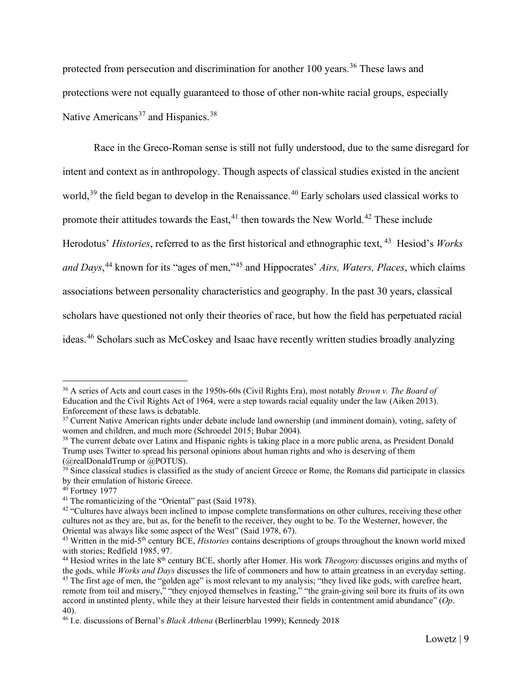protected from persecution and discrimination for another 100 years.<sup>[36](#page-9-0)</sup> These laws and protections were not equally guaranteed to those of other non-white racial groups, especially Native Americans<sup>[37](#page-9-1)</sup> and Hispanics.<sup>[38](#page-9-2)</sup>

Race in the Greco-Roman sense is still not fully understood, due to the same disregard for intent and context as in anthropology. Though aspects of classical studies existed in the ancient world,<sup>[39](#page-9-3)</sup> the field began to develop in the Renaissance.<sup>[40](#page-9-4)</sup> Early scholars used classical works to promote their attitudes towards the East,  $41$  then towards the New World.  $42$  These include Herodotus' *Histories*, referred to as the first historical and ethnographic text, [43](#page-9-7) Hesiod's *Works and Days*, [44](#page-9-8) known for its "ages of men,"[45](#page-9-9) and Hippocrates' *Airs, Waters, Places*, which claims associations between personality characteristics and geography. In the past 30 years, classical scholars have questioned not only their theories of race, but how the field has perpetuated racial ideas.[46](#page-9-10) Scholars such as McCoskey and Isaac have recently written studies broadly analyzing

<span id="page-9-0"></span><sup>36</sup> A series of Acts and court cases in the 1950s-60s (Civil Rights Era), most notably *Brown v. The Board of* Education and the Civil Rights Act of 1964, were a step towards racial equality under the law (Aiken 2013). Enforcement of these laws is debatable.

<span id="page-9-1"></span><sup>&</sup>lt;sup>37</sup> Current Native American rights under debate include land ownership (and imminent domain), voting, safety of women and children, and much more (Schroedel 2015; Bubar 2004).

<span id="page-9-2"></span><sup>&</sup>lt;sup>38</sup> The current debate over Latinx and Hispanic rights is taking place in a more public arena, as President Donald Trump uses Twitter to spread his personal opinions about human rights and who is deserving of them (@realDonaldTrump or @POTUS).

<span id="page-9-3"></span> $39$  Since classical studies is classified as the study of ancient Greece or Rome, the Romans did participate in classics by their emulation of historic Greece.

<span id="page-9-4"></span><sup>40</sup> Fortney 1977

<span id="page-9-5"></span><sup>&</sup>lt;sup>41</sup> The romanticizing of the "Oriental" past (Said 1978).

<span id="page-9-6"></span><sup>&</sup>lt;sup>42</sup> "Cultures have always been inclined to impose complete transformations on other cultures, receiving these other cultures not as they are, but as, for the benefit to the receiver, they ought to be. To the Westerner, however, the Oriental was always like some aspect of the West" (Said 1978, 67).

<span id="page-9-7"></span><sup>43</sup> Written in the mid-5th century BCE, *Histories* contains descriptions of groups throughout the known world mixed with stories; Redfield 1985, 97.

<span id="page-9-9"></span><span id="page-9-8"></span><sup>44</sup> Hesiod writes in the late 8th century BCE, shortly after Homer. His work *Theogony* discusses origins and myths of the gods, while *Works and Days* discusses the life of commoners and how to attain greatness in an everyday setting. <sup>45</sup> The first age of men, the "golden age" is most relevant to my analysis; "they lived like gods, with carefree heart, remote from toil and misery," "they enjoyed themselves in feasting," "the grain-giving soil bore its fruits of its own accord in unstinted plenty, while they at their leisure harvested their fields in contentment amid abundance" (*Op*. 40).

<span id="page-9-10"></span><sup>46</sup> I.e. discussions of Bernal's *Black Athena* (Berlinerblau 1999); Kennedy 2018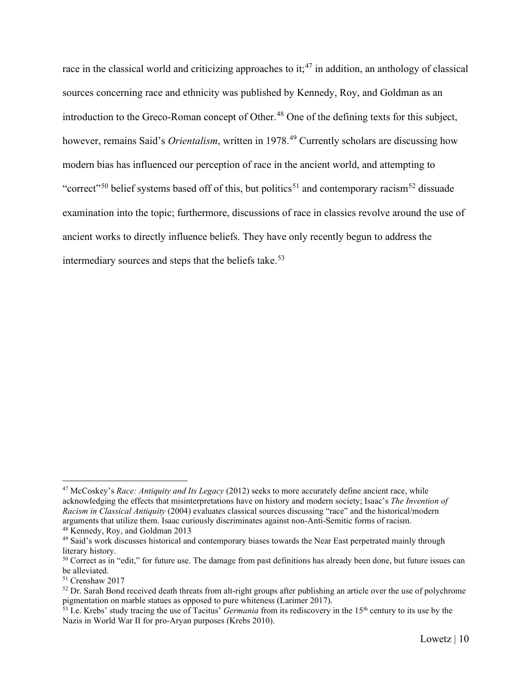race in the classical world and criticizing approaches to it;<sup>[47](#page-10-0)</sup> in addition, an anthology of classical sources concerning race and ethnicity was published by Kennedy, Roy, and Goldman as an introduction to the Greco-Roman concept of Other.<sup>[48](#page-10-1)</sup> One of the defining texts for this subject, however, remains Said's *Orientalism*, written in 1978.[49](#page-10-2) Currently scholars are discussing how modern bias has influenced our perception of race in the ancient world, and attempting to "correct"<sup>[50](#page-10-3)</sup> belief systems based off of this, but politics<sup>[51](#page-10-4)</sup> and contemporary racism<sup>[52](#page-10-5)</sup> dissuade examination into the topic; furthermore, discussions of race in classics revolve around the use of ancient works to directly influence beliefs. They have only recently begun to address the intermediary sources and steps that the beliefs take.<sup>[53](#page-10-6)</sup>

<span id="page-10-0"></span><sup>47</sup> McCoskey's *Race: Antiquity and Its Legacy* (2012) seeks to more accurately define ancient race, while acknowledging the effects that misinterpretations have on history and modern society; Isaac's *The Invention of Racism in Classical Antiquity* (2004) evaluates classical sources discussing "race" and the historical/modern arguments that utilize them. Isaac curiously discriminates against non-Anti-Semitic forms of racism.

<span id="page-10-1"></span><sup>48</sup> Kennedy, Roy, and Goldman 2013

<span id="page-10-2"></span><sup>&</sup>lt;sup>49</sup> Said's work discusses historical and contemporary biases towards the Near East perpetrated mainly through literary history.

<span id="page-10-3"></span><sup>&</sup>lt;sup>50</sup> Correct as in "edit," for future use. The damage from past definitions has already been done, but future issues can be alleviated.

<span id="page-10-4"></span><sup>51</sup> Crenshaw 2017

<span id="page-10-5"></span> $52$  Dr. Sarah Bond received death threats from alt-right groups after publishing an article over the use of polychrome pigmentation on marble statues as opposed to pure whiteness (Larimer 2017).

<span id="page-10-6"></span> $\frac{1}{53}$  I.e. Krebs' study tracing the use of Tacitus' *Germania* from its rediscovery in the 15<sup>th</sup> century to its use by the Nazis in World War II for pro-Aryan purposes (Krebs 2010).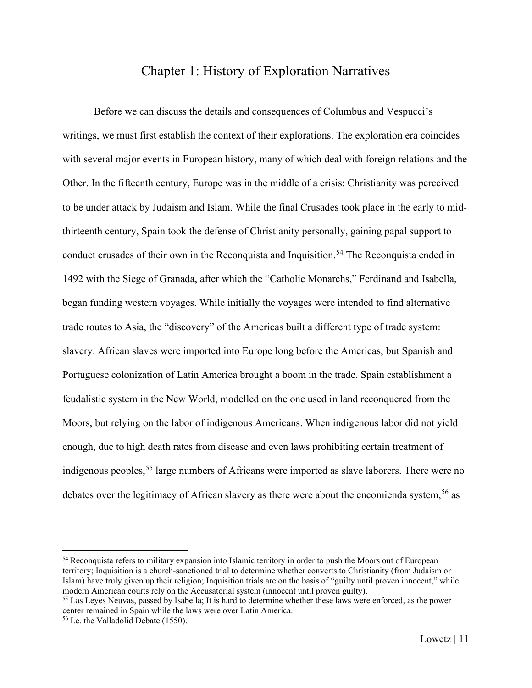# Chapter 1: History of Exploration Narratives

<span id="page-11-0"></span>Before we can discuss the details and consequences of Columbus and Vespucci's writings, we must first establish the context of their explorations. The exploration era coincides with several major events in European history, many of which deal with foreign relations and the Other. In the fifteenth century, Europe was in the middle of a crisis: Christianity was perceived to be under attack by Judaism and Islam. While the final Crusades took place in the early to midthirteenth century, Spain took the defense of Christianity personally, gaining papal support to conduct crusades of their own in the Reconquista and Inquisition.<sup>[54](#page-11-1)</sup> The Reconquista ended in 1492 with the Siege of Granada, after which the "Catholic Monarchs," Ferdinand and Isabella, began funding western voyages. While initially the voyages were intended to find alternative trade routes to Asia, the "discovery" of the Americas built a different type of trade system: slavery. African slaves were imported into Europe long before the Americas, but Spanish and Portuguese colonization of Latin America brought a boom in the trade. Spain establishment a feudalistic system in the New World, modelled on the one used in land reconquered from the Moors, but relying on the labor of indigenous Americans. When indigenous labor did not yield enough, due to high death rates from disease and even laws prohibiting certain treatment of indigenous peoples,<sup>[55](#page-11-2)</sup> large numbers of Africans were imported as slave laborers. There were no debates over the legitimacy of African slavery as there were about the encomienda system,<sup>[56](#page-11-3)</sup> as

<span id="page-11-1"></span><sup>54</sup> Reconquista refers to military expansion into Islamic territory in order to push the Moors out of European territory; Inquisition is a church-sanctioned trial to determine whether converts to Christianity (from Judaism or Islam) have truly given up their religion; Inquisition trials are on the basis of "guilty until proven innocent," while modern American courts rely on the Accusatorial system (innocent until proven guilty).

<span id="page-11-2"></span><sup>55</sup> Las Leyes Neuvas, passed by Isabella; It is hard to determine whether these laws were enforced, as the power center remained in Spain while the laws were over Latin America.

<span id="page-11-3"></span><sup>56</sup> I.e. the Valladolid Debate (1550).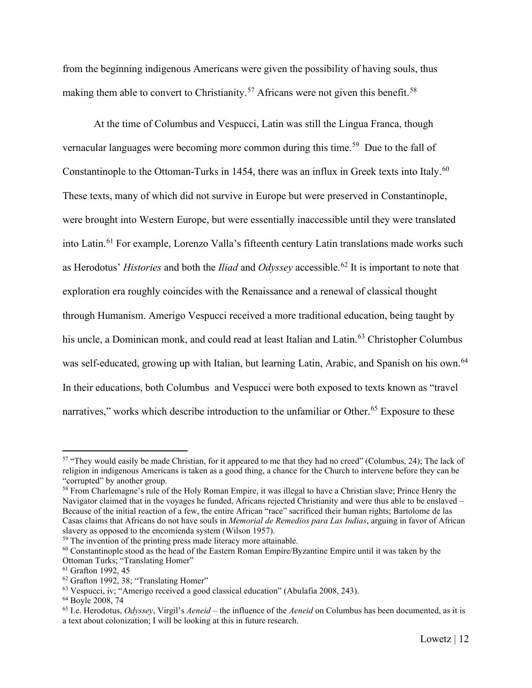from the beginning indigenous Americans were given the possibility of having souls, thus making them able to convert to Christianity.<sup>[57](#page-12-0)</sup> Africans were not given this benefit.<sup>[58](#page-12-1)</sup>

At the time of Columbus and Vespucci, Latin was still the Lingua Franca, though vernacular languages were becoming more common during this time.<sup>[59](#page-12-2)</sup> Due to the fall of Constantinople to the Ottoman-Turks in 1454, there was an influx in Greek texts into Italy.<sup>[60](#page-12-3)</sup> These texts, many of which did not survive in Europe but were preserved in Constantinople, were brought into Western Europe, but were essentially inaccessible until they were translated into Latin.<sup>[61](#page-12-4)</sup> For example, Lorenzo Valla's fifteenth century Latin translations made works such as Herodotus' *Histories* and both the *Iliad* and *Odyssey* accessible.[62](#page-12-5) It is important to note that exploration era roughly coincides with the Renaissance and a renewal of classical thought through Humanism. Amerigo Vespucci received a more traditional education, being taught by his uncle, a Dominican monk, and could read at least Italian and Latin. [63](#page-12-6) Christopher Columbus was self-educated, growing up with Italian, but learning Latin, Arabic, and Spanish on his own.<sup>[64](#page-12-7)</sup> In their educations, both Columbus and Vespucci were both exposed to texts known as "travel narratives," works which describe introduction to the unfamiliar or Other.<sup>[65](#page-12-8)</sup> Exposure to these

<span id="page-12-0"></span><sup>&</sup>lt;sup>57</sup> "They would easily be made Christian, for it appeared to me that they had no creed" (Columbus, 24); The lack of religion in indigenous Americans is taken as a good thing, a chance for the Church to intervene before they can be "corrupted" by another group.

<span id="page-12-1"></span><sup>&</sup>lt;sup>58</sup> From Charlemagne's rule of the Holy Roman Empire, it was illegal to have a Christian slave; Prince Henry the Navigator claimed that in the voyages he funded, Africans rejected Christianity and were thus able to be enslaved – Because of the initial reaction of a few, the entire African "race" sacrificed their human rights; Bartolome de las Casas claims that Africans do not have souls in *Memorial de Remedios para Las Indias*, arguing in favor of African slavery as opposed to the encomienda system (Wilson 1957).

<span id="page-12-2"></span><sup>&</sup>lt;sup>59</sup> The invention of the printing press made literacy more attainable.

<span id="page-12-3"></span> $60$  Constantinople stood as the head of the Eastern Roman Empire/Byzantine Empire until it was taken by the Ottoman Turks; "Translating Homer"

<span id="page-12-4"></span><sup>61</sup> Grafton 1992, 45

<span id="page-12-5"></span><sup>&</sup>lt;sup>62</sup> Grafton 1992, 38; "Translating Homer"

<span id="page-12-6"></span><sup>63</sup> Vespucci, iv; "Amerigo received a good classical education" (Abulafia 2008, 243).

<span id="page-12-7"></span><sup>64</sup> Boyle 2008, 74

<span id="page-12-8"></span><sup>65</sup> I.e. Herodotus, *Odyssey*, Virgil's *Aeneid* – the influence of the *Aeneid* on Columbus has been documented, as it is a text about colonization; I will be looking at this in future research.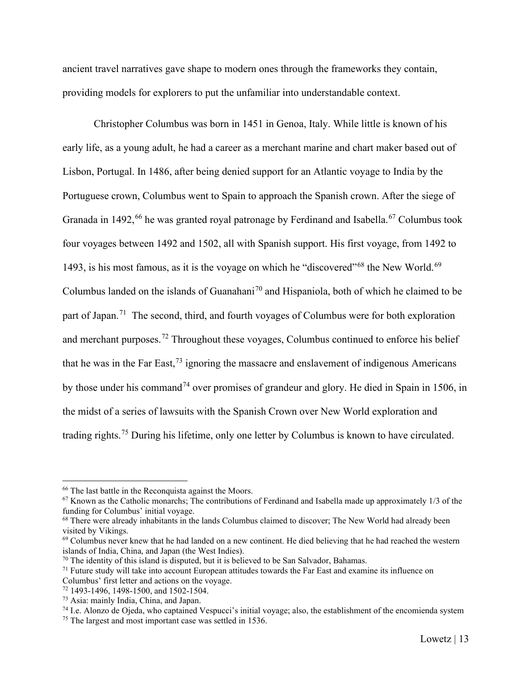ancient travel narratives gave shape to modern ones through the frameworks they contain, providing models for explorers to put the unfamiliar into understandable context.

Christopher Columbus was born in 1451 in Genoa, Italy. While little is known of his early life, as a young adult, he had a career as a merchant marine and chart maker based out of Lisbon, Portugal. In 1486, after being denied support for an Atlantic voyage to India by the Portuguese crown, Columbus went to Spain to approach the Spanish crown. After the siege of Granada in 1492,<sup>[66](#page-13-0)</sup> he was granted royal patronage by Ferdinand and Isabella.<sup>[67](#page-13-1)</sup> Columbus took four voyages between 1492 and 1502, all with Spanish support. His first voyage, from 1492 to 1493, is his most famous, as it is the voyage on which he "discovered"<sup>[68](#page-13-2)</sup> the New World.<sup>[69](#page-13-3)</sup> Columbus landed on the islands of Guanahani<sup>[70](#page-13-4)</sup> and Hispaniola, both of which he claimed to be part of Japan.<sup>[71](#page-13-5)</sup> The second, third, and fourth voyages of Columbus were for both exploration and merchant purposes.<sup>[72](#page-13-6)</sup> Throughout these voyages, Columbus continued to enforce his belief that he was in the Far East,  $^{73}$  $^{73}$  $^{73}$  ignoring the massacre and enslavement of indigenous Americans by those under his command<sup>[74](#page-13-8)</sup> over promises of grandeur and glory. He died in Spain in 1506, in the midst of a series of lawsuits with the Spanish Crown over New World exploration and trading rights.[75](#page-13-9) During his lifetime, only one letter by Columbus is known to have circulated.

<span id="page-13-0"></span><sup>&</sup>lt;sup>66</sup> The last battle in the Reconquista against the Moors.

<span id="page-13-1"></span> $67$  Known as the Catholic monarchs; The contributions of Ferdinand and Isabella made up approximately  $1/3$  of the funding for Columbus' initial voyage.

<span id="page-13-2"></span><sup>&</sup>lt;sup>68</sup> There were already inhabitants in the lands Columbus claimed to discover; The New World had already been visited by Vikings.

<span id="page-13-3"></span> $69$  Columbus never knew that he had landed on a new continent. He died believing that he had reached the western islands of India, China, and Japan (the West Indies).

 $70$  The identity of this island is disputed, but it is believed to be San Salvador, Bahamas.

<span id="page-13-5"></span><span id="page-13-4"></span> $71$  Future study will take into account European attitudes towards the Far East and examine its influence on Columbus' first letter and actions on the voyage.

<span id="page-13-6"></span><sup>72</sup> 1493-1496, 1498-1500, and 1502-1504.

<sup>73</sup> Asia: mainly India, China, and Japan.

<span id="page-13-8"></span><span id="page-13-7"></span><sup>74</sup> I.e. Alonzo de Ojeda, who captained Vespucci's initial voyage; also, the establishment of the encomienda system

<span id="page-13-9"></span><sup>&</sup>lt;sup>75</sup> The largest and most important case was settled in 1536.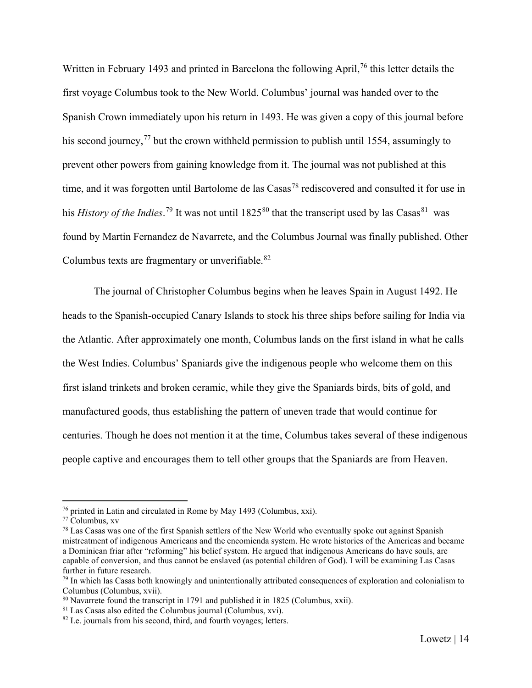Written in February 1493 and printed in Barcelona the following April,<sup>[76](#page-14-0)</sup> this letter details the first voyage Columbus took to the New World. Columbus' journal was handed over to the Spanish Crown immediately upon his return in 1493. He was given a copy of this journal before his second journey,  $^{77}$  $^{77}$  $^{77}$  but the crown withheld permission to publish until 1554, assumingly to prevent other powers from gaining knowledge from it. The journal was not published at this time, and it was forgotten until Bartolome de las Casas<sup>[78](#page-14-2)</sup> rediscovered and consulted it for use in his *History of the Indies*.<sup>[79](#page-14-3)</sup> It was not until 1825<sup>[80](#page-14-4)</sup> that the transcript used by las Casas<sup>[81](#page-14-5)</sup> was found by Martin Fernandez de Navarrete, and the Columbus Journal was finally published. Other Columbus texts are fragmentary or unverifiable. $82$ 

The journal of Christopher Columbus begins when he leaves Spain in August 1492. He heads to the Spanish-occupied Canary Islands to stock his three ships before sailing for India via the Atlantic. After approximately one month, Columbus lands on the first island in what he calls the West Indies. Columbus' Spaniards give the indigenous people who welcome them on this first island trinkets and broken ceramic, while they give the Spaniards birds, bits of gold, and manufactured goods, thus establishing the pattern of uneven trade that would continue for centuries. Though he does not mention it at the time, Columbus takes several of these indigenous people captive and encourages them to tell other groups that the Spaniards are from Heaven.

<span id="page-14-0"></span><sup>76</sup> printed in Latin and circulated in Rome by May 1493 (Columbus, xxi).

<span id="page-14-1"></span><sup>77</sup> Columbus, xv

<span id="page-14-2"></span><sup>&</sup>lt;sup>78</sup> Las Casas was one of the first Spanish settlers of the New World who eventually spoke out against Spanish mistreatment of indigenous Americans and the encomienda system. He wrote histories of the Americas and became a Dominican friar after "reforming" his belief system. He argued that indigenous Americans do have souls, are capable of conversion, and thus cannot be enslaved (as potential children of God). I will be examining Las Casas further in future research.

<span id="page-14-3"></span> $79$  In which las Casas both knowingly and unintentionally attributed consequences of exploration and colonialism to Columbus (Columbus, xvii).

<span id="page-14-4"></span><sup>80</sup> Navarrete found the transcript in 1791 and published it in 1825 (Columbus, xxii).

<span id="page-14-5"></span> $81$  Las Casas also edited the Columbus journal (Columbus, xvi).

<span id="page-14-6"></span><sup>&</sup>lt;sup>82</sup> I.e. journals from his second, third, and fourth voyages; letters.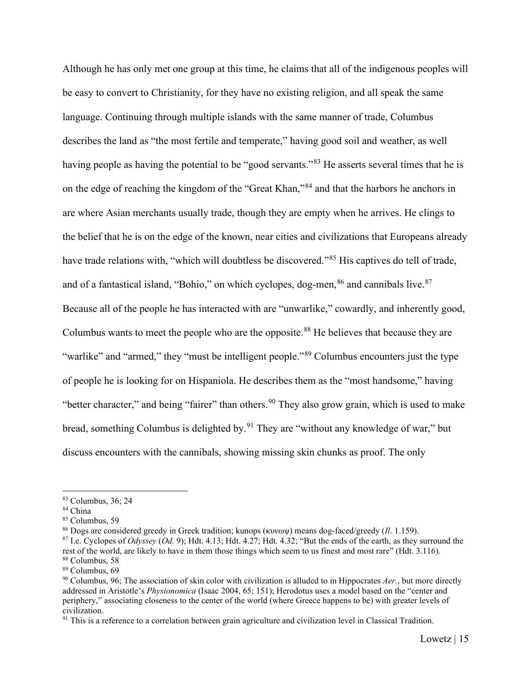Although he has only met one group at this time, he claims that all of the indigenous peoples will be easy to convert to Christianity, for they have no existing religion, and all speak the same language. Continuing through multiple islands with the same manner of trade, Columbus describes the land as "the most fertile and temperate," having good soil and weather, as well having people as having the potential to be "good servants."<sup>[83](#page-15-0)</sup> He asserts several times that he is on the edge of reaching the kingdom of the "Great Khan,"[84](#page-15-1) and that the harbors he anchors in are where Asian merchants usually trade, though they are empty when he arrives. He clings to the belief that he is on the edge of the known, near cities and civilizations that Europeans already have trade relations with, "which will doubtless be discovered."<sup>[85](#page-15-2)</sup> His captives do tell of trade, and of a fantastical island, "Bohio," on which cyclopes, dog-men,  $86$  and cannibals live.  $87$ Because all of the people he has interacted with are "unwarlike," cowardly, and inherently good, Columbus wants to meet the people who are the opposite.<sup>[88](#page-15-5)</sup> He believes that because they are "warlike" and "armed," they "must be intelligent people."<sup>[89](#page-15-6)</sup> Columbus encounters just the type of people he is looking for on Hispaniola. He describes them as the "most handsome," having "better character," and being "fairer" than others.  $90$  They also grow grain, which is used to make bread, something Columbus is delighted by.<sup>[91](#page-15-8)</sup> They are "without any knowledge of war," but discuss encounters with the cannibals, showing missing skin chunks as proof. The only

<span id="page-15-0"></span><sup>83</sup> Columbus, 36; 24

<span id="page-15-1"></span><sup>84</sup> China

<span id="page-15-2"></span><sup>85</sup> Columbus, 59

<span id="page-15-3"></span><sup>86</sup> Dogs are considered greedy in Greek tradition; kunops (κυνωψ) means dog-faced/greedy (*Il*. 1.159).

<span id="page-15-4"></span><sup>87</sup> I.e. Cyclopes of *Odyssey* (*Od.* 9); Hdt. 4.13; Hdt. 4.27; Hdt. 4.32; "But the ends of the earth, as they surround the rest of the world, are likely to have in them those things which seem to us finest and most rare" (Hdt. 3.116). <sup>88</sup> Columbus, 58

<span id="page-15-6"></span><span id="page-15-5"></span><sup>89</sup> Columbus, 69

<span id="page-15-7"></span><sup>90</sup> Columbus, 96; The association of skin color with civilization is alluded to in Hippocrates *Aer.*, but more directly addressed in Aristotle's *Physionomica* (Isaac 2004, 65; 151); Herodotus uses a model based on the "center and periphery," associating closeness to the center of the world (where Greece happens to be) with greater levels of civilization.

<span id="page-15-8"></span><sup>&</sup>lt;sup>91</sup> This is a reference to a correlation between grain agriculture and civilization level in Classical Tradition.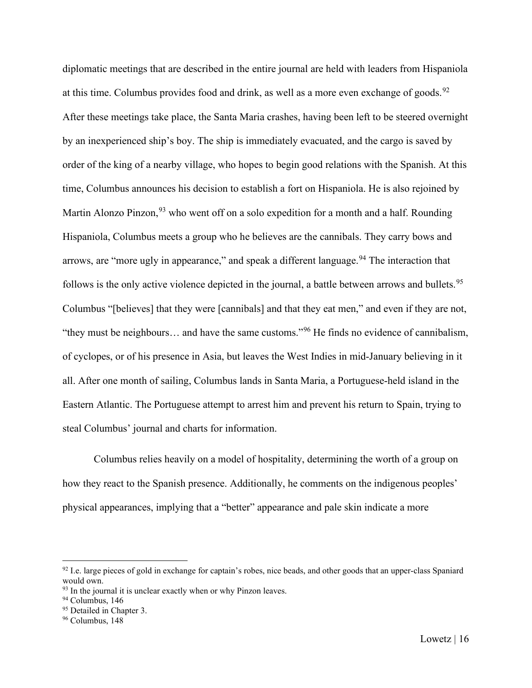diplomatic meetings that are described in the entire journal are held with leaders from Hispaniola at this time. Columbus provides food and drink, as well as a more even exchange of goods.<sup>[92](#page-16-0)</sup> After these meetings take place, the Santa Maria crashes, having been left to be steered overnight by an inexperienced ship's boy. The ship is immediately evacuated, and the cargo is saved by order of the king of a nearby village, who hopes to begin good relations with the Spanish. At this time, Columbus announces his decision to establish a fort on Hispaniola. He is also rejoined by Martin Alonzo Pinzon,  $93$  who went off on a solo expedition for a month and a half. Rounding Hispaniola, Columbus meets a group who he believes are the cannibals. They carry bows and arrows, are "more ugly in appearance," and speak a different language. <sup>[94](#page-16-2)</sup> The interaction that follows is the only active violence depicted in the journal, a battle between arrows and bullets.<sup>[95](#page-16-3)</sup> Columbus "[believes] that they were [cannibals] and that they eat men," and even if they are not, "they must be neighbours… and have the same customs."[96](#page-16-4) He finds no evidence of cannibalism, of cyclopes, or of his presence in Asia, but leaves the West Indies in mid-January believing in it all. After one month of sailing, Columbus lands in Santa Maria, a Portuguese-held island in the Eastern Atlantic. The Portuguese attempt to arrest him and prevent his return to Spain, trying to steal Columbus' journal and charts for information.

Columbus relies heavily on a model of hospitality, determining the worth of a group on how they react to the Spanish presence. Additionally, he comments on the indigenous peoples' physical appearances, implying that a "better" appearance and pale skin indicate a more

<span id="page-16-0"></span> $92$  I.e. large pieces of gold in exchange for captain's robes, nice beads, and other goods that an upper-class Spaniard would own.

<span id="page-16-1"></span><sup>&</sup>lt;sup>93</sup> In the journal it is unclear exactly when or why Pinzon leaves.

<span id="page-16-2"></span><sup>&</sup>lt;sup>94</sup> Columbus, 146

<span id="page-16-3"></span><sup>&</sup>lt;sup>95</sup> Detailed in Chapter 3.

<span id="page-16-4"></span><sup>96</sup> Columbus, 148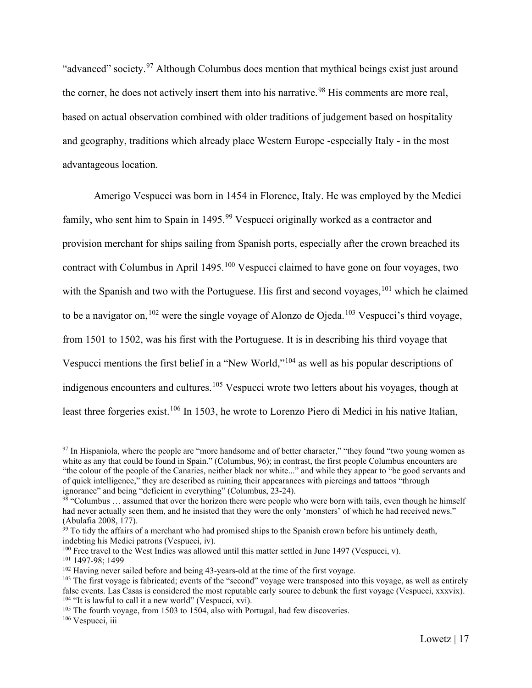"advanced" society.[97](#page-17-0) Although Columbus does mention that mythical beings exist just around the corner, he does not actively insert them into his narrative.<sup>[98](#page-17-1)</sup> His comments are more real, based on actual observation combined with older traditions of judgement based on hospitality and geography, traditions which already place Western Europe -especially Italy - in the most advantageous location.

Amerigo Vespucci was born in 1454 in Florence, Italy. He was employed by the Medici family, who sent him to Spain in 1495.<sup>[99](#page-17-2)</sup> Vespucci originally worked as a contractor and provision merchant for ships sailing from Spanish ports, especially after the crown breached its contract with Columbus in April 1495.<sup>[100](#page-17-3)</sup> Vespucci claimed to have gone on four voyages, two with the Spanish and two with the Portuguese. His first and second voyages,  $101$  which he claimed to be a navigator on,<sup>[102](#page-17-5)</sup> were the single voyage of Alonzo de Ojeda.<sup>[103](#page-17-6)</sup> Vespucci's third voyage, from 1501 to 1502, was his first with the Portuguese. It is in describing his third voyage that Vespucci mentions the first belief in a "New World,"[104](#page-17-7) as well as his popular descriptions of indigenous encounters and cultures.<sup>[105](#page-17-8)</sup> Vespucci wrote two letters about his voyages, though at least three forgeries exist.<sup>[106](#page-17-9)</sup> In 1503, he wrote to Lorenzo Piero di Medici in his native Italian,

<span id="page-17-0"></span> $97$  In Hispaniola, where the people are "more handsome and of better character," "they found "two young women as white as any that could be found in Spain." (Columbus, 96); in contrast, the first people Columbus encounters are "the colour of the people of the Canaries, neither black nor white..." and while they appear to "be good servants and of quick intelligence," they are described as ruining their appearances with piercings and tattoos "through ignorance" and being "deficient in everything" (Columbus, 23-24).

<span id="page-17-1"></span> $98$  "Columbus ... assumed that over the horizon there were people who were born with tails, even though he himself had never actually seen them, and he insisted that they were the only 'monsters' of which he had received news." (Abulafia 2008, 177).

<span id="page-17-2"></span> $99$  To tidy the affairs of a merchant who had promised ships to the Spanish crown before his untimely death, indebting his Medici patrons (Vespucci, iv).

<span id="page-17-3"></span> $100$  Free travel to the West Indies was allowed until this matter settled in June 1497 (Vespucci, v).

<span id="page-17-4"></span><sup>101</sup> 1497-98; 1499

<span id="page-17-5"></span><sup>&</sup>lt;sup>102</sup> Having never sailed before and being 43-years-old at the time of the first voyage.

<span id="page-17-6"></span> $103$  The first voyage is fabricated; events of the "second" voyage were transposed into this voyage, as well as entirely false events. Las Casas is considered the most reputable early source to debunk the first voyage (Vespucci, xxxvix).  $104$  "It is lawful to call it a new world" (Vespucci, xvi).

<span id="page-17-8"></span><span id="page-17-7"></span><sup>&</sup>lt;sup>105</sup> The fourth voyage, from 1503 to 1504, also with Portugal, had few discoveries.

<span id="page-17-9"></span><sup>&</sup>lt;sup>106</sup> Vespucci, iii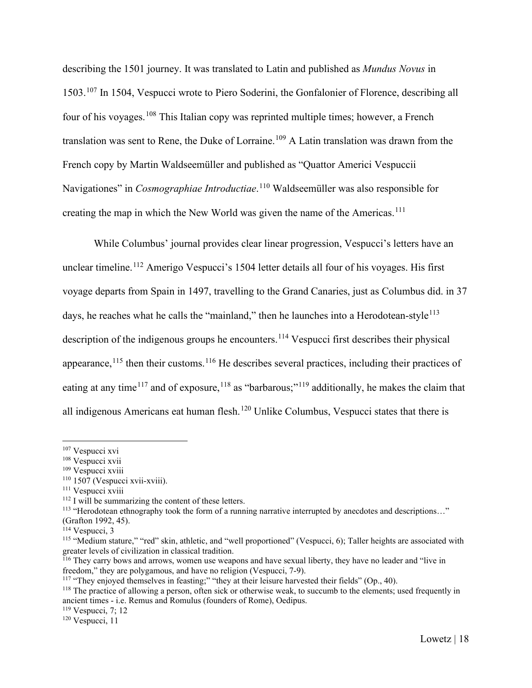describing the 1501 journey. It was translated to Latin and published as *Mundus Novus* in 1503.[107](#page-18-0) In 1504, Vespucci wrote to Piero Soderini, the Gonfalonier of Florence, describing all four of his voyages.[108](#page-18-1) This Italian copy was reprinted multiple times; however, a French translation was sent to Rene, the Duke of Lorraine.<sup>[109](#page-18-2)</sup> A Latin translation was drawn from the French copy by Martin Waldseemüller and published as "Quattor Americi Vespuccii Navigationes" in *Cosmographiae Introductiae*. [110](#page-18-3) Waldseemüller was also responsible for creating the map in which the New World was given the name of the Americas.<sup>[111](#page-18-4)</sup>

While Columbus' journal provides clear linear progression, Vespucci's letters have an unclear timeline.<sup>[112](#page-18-5)</sup> Amerigo Vespucci's 1504 letter details all four of his voyages. His first voyage departs from Spain in 1497, travelling to the Grand Canaries, just as Columbus did. in 37 days, he reaches what he calls the "mainland," then he launches into a Herodotean-style<sup>[113](#page-18-6)</sup> description of the indigenous groups he encounters.<sup>[114](#page-18-7)</sup> Vespucci first describes their physical appearance,  $^{115}$  $^{115}$  $^{115}$  then their customs.  $^{116}$  $^{116}$  $^{116}$  He describes several practices, including their practices of eating at any time<sup>[117](#page-18-10)</sup> and of exposure,<sup>[118](#page-18-11)</sup> as "barbarous;"<sup>[119](#page-18-12)</sup> additionally, he makes the claim that all indigenous Americans eat human flesh.<sup>[120](#page-18-13)</sup> Unlike Columbus, Vespucci states that there is

<span id="page-18-12"></span> $119$  Vespucci, 7; 12

<span id="page-18-0"></span><sup>107</sup> Vespucci xvi

<span id="page-18-1"></span><sup>108</sup> Vespucci xvii

<span id="page-18-2"></span><sup>109</sup> Vespucci xviii

<span id="page-18-3"></span><sup>110</sup> 1507 (Vespucci xvii-xviii).

<span id="page-18-4"></span><sup>&</sup>lt;sup>111</sup> Vespucci xviii

<span id="page-18-5"></span><sup>112</sup> I will be summarizing the content of these letters.

<span id="page-18-6"></span><sup>113</sup> "Herodotean ethnography took the form of a running narrative interrupted by anecdotes and descriptions…"

<sup>(</sup>Grafton 1992, 45).

<span id="page-18-7"></span><sup>114</sup> Vespucci, 3

<span id="page-18-8"></span><sup>&</sup>lt;sup>115</sup> "Medium stature," "red" skin, athletic, and "well proportioned" (Vespucci, 6); Taller heights are associated with greater levels of civilization in classical tradition.

<span id="page-18-9"></span><sup>&</sup>lt;sup>116</sup> They carry bows and arrows, women use weapons and have sexual liberty, they have no leader and "live in freedom," they are polygamous, and have no religion (Vespucci, 7-9).

<span id="page-18-10"></span><sup>&</sup>lt;sup>117</sup> "They enjoyed themselves in feasting;" "they at their leisure harvested their fields" (Op., 40).

<span id="page-18-11"></span><sup>&</sup>lt;sup>118</sup> The practice of allowing a person, often sick or otherwise weak, to succumb to the elements; used frequently in ancient times - i.e. Remus and Romulus (founders of Rome), Oedipus.

<span id="page-18-13"></span> $120$  Vespucci, 11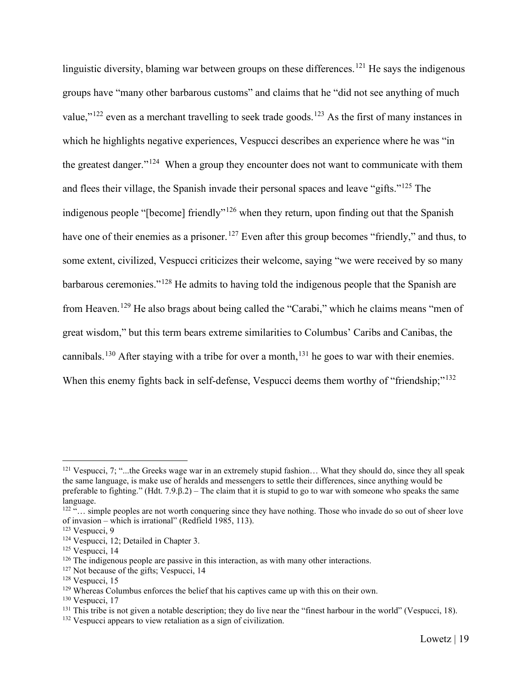linguistic diversity, blaming war between groups on these differences.<sup>[121](#page-19-0)</sup> He says the indigenous groups have "many other barbarous customs" and claims that he "did not see anything of much value," $^{122}$  $^{122}$  $^{122}$  even as a merchant travelling to seek trade goods.<sup>[123](#page-19-2)</sup> As the first of many instances in which he highlights negative experiences, Vespucci describes an experience where he was "in the greatest danger."<sup>[124](#page-19-3)</sup> When a group they encounter does not want to communicate with them and flees their village, the Spanish invade their personal spaces and leave "gifts."[125](#page-19-4) The indigenous people "[become] friendly"<sup>[126](#page-19-5)</sup> when they return, upon finding out that the Spanish have one of their enemies as a prisoner.<sup>[127](#page-19-6)</sup> Even after this group becomes "friendly," and thus, to some extent, civilized, Vespucci criticizes their welcome, saying "we were received by so many barbarous ceremonies."[128](#page-19-7) He admits to having told the indigenous people that the Spanish are from Heaven.[129](#page-19-8) He also brags about being called the "Carabi," which he claims means "men of great wisdom," but this term bears extreme similarities to Columbus' Caribs and Canibas, the cannibals.<sup>[130](#page-19-9)</sup> After staying with a tribe for over a month,<sup>[131](#page-19-10)</sup> he goes to war with their enemies. When this enemy fights back in self-defense, Vespucci deems them worthy of "friendship;"<sup>[132](#page-19-11)</sup>

<span id="page-19-0"></span> $121$  Vespucci, 7; "...the Greeks wage war in an extremely stupid fashion... What they should do, since they all speak the same language, is make use of heralds and messengers to settle their differences, since anything would be preferable to fighting." (Hdt. 7.9.β.2) – The claim that it is stupid to go to war with someone who speaks the same language.

<span id="page-19-1"></span><sup>&</sup>lt;sup>122 "</sup>… simple peoples are not worth conquering since they have nothing. Those who invade do so out of sheer love of invasion – which is irrational" (Redfield 1985, 113).

<span id="page-19-2"></span><sup>123</sup> Vespucci, 9

<span id="page-19-3"></span><sup>&</sup>lt;sup>124</sup> Vespucci, 12; Detailed in Chapter 3.

<span id="page-19-4"></span> $125$  Vespucci, 14

<span id="page-19-5"></span> $126$  The indigenous people are passive in this interaction, as with many other interactions.

<span id="page-19-6"></span> $127$  Not because of the gifts; Vespucci, 14

<span id="page-19-7"></span> $128$  Vespucci, 15

<span id="page-19-8"></span><sup>&</sup>lt;sup>129</sup> Whereas Columbus enforces the belief that his captives came up with this on their own.

<span id="page-19-9"></span><sup>130</sup> Vespucci, 17

<span id="page-19-10"></span> $131$  This tribe is not given a notable description; they do live near the "finest harbour in the world" (Vespucci, 18).

<span id="page-19-11"></span><sup>132</sup> Vespucci appears to view retaliation as a sign of civilization.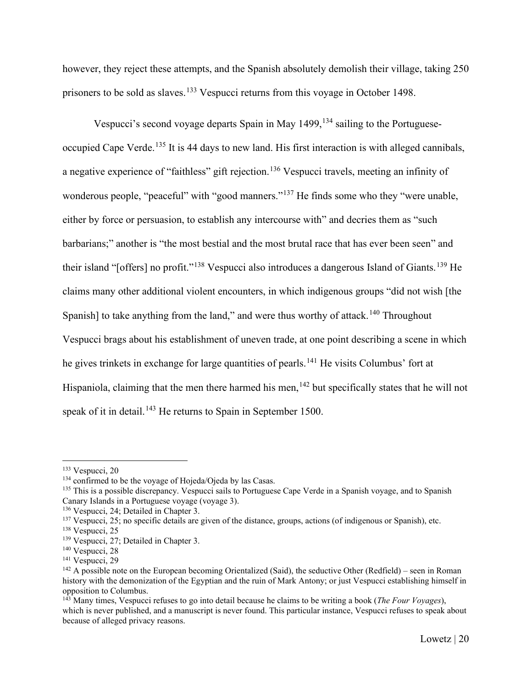however, they reject these attempts, and the Spanish absolutely demolish their village, taking 250 prisoners to be sold as slaves.<sup>[133](#page-20-0)</sup> Vespucci returns from this voyage in October 1498.

Vespucci's second voyage departs Spain in May  $1499$ ,  $^{134}$  $^{134}$  $^{134}$  sailing to the Portuguese-occupied Cape Verde.<sup>[135](#page-20-2)</sup> It is 44 days to new land. His first interaction is with alleged cannibals, a negative experience of "faithless" gift rejection.<sup>[136](#page-20-3)</sup> Vespucci travels, meeting an infinity of wonderous people, "peaceful" with "good manners."<sup>[137](#page-20-4)</sup> He finds some who they "were unable, either by force or persuasion, to establish any intercourse with" and decries them as "such barbarians;" another is "the most bestial and the most brutal race that has ever been seen" and their island "[offers] no profit."<sup>[138](#page-20-5)</sup> Vespucci also introduces a dangerous Island of Giants.<sup>[139](#page-20-6)</sup> He claims many other additional violent encounters, in which indigenous groups "did not wish [the Spanish] to take anything from the land," and were thus worthy of attack.<sup>[140](#page-20-7)</sup> Throughout Vespucci brags about his establishment of uneven trade, at one point describing a scene in which he gives trinkets in exchange for large quantities of pearls.<sup>[141](#page-20-8)</sup> He visits Columbus' fort at Hispaniola, claiming that the men there harmed his men,  $142$  but specifically states that he will not speak of it in detail.<sup>[143](#page-20-10)</sup> He returns to Spain in September 1500.

<span id="page-20-3"></span><sup>136</sup> Vespucci, 24; Detailed in Chapter 3.

<span id="page-20-0"></span><sup>133</sup> Vespucci, 20

<span id="page-20-1"></span><sup>&</sup>lt;sup>134</sup> confirmed to be the voyage of Hojeda/Ojeda by las Casas.

<span id="page-20-2"></span><sup>&</sup>lt;sup>135</sup> This is a possible discrepancy. Vespucci sails to Portuguese Cape Verde in a Spanish voyage, and to Spanish Canary Islands in a Portuguese voyage (voyage 3).

<span id="page-20-4"></span> $137$  Vespucci, 25; no specific details are given of the distance, groups, actions (of indigenous or Spanish), etc.

<span id="page-20-5"></span><sup>138</sup> Vespucci, 25

<span id="page-20-6"></span><sup>&</sup>lt;sup>139</sup> Vespucci, 27; Detailed in Chapter 3.

<span id="page-20-7"></span><sup>&</sup>lt;sup>140</sup> Vespucci, 28

<span id="page-20-8"></span><sup>&</sup>lt;sup>141</sup> Vespucci, 29

<span id="page-20-9"></span> $142$  A possible note on the European becoming Orientalized (Said), the seductive Other (Redfield) – seen in Roman history with the demonization of the Egyptian and the ruin of Mark Antony; or just Vespucci establishing himself in opposition to Columbus.

<span id="page-20-10"></span><sup>143</sup> Many times, Vespucci refuses to go into detail because he claims to be writing a book (*The Four Voyages*), which is never published, and a manuscript is never found. This particular instance, Vespucci refuses to speak about because of alleged privacy reasons.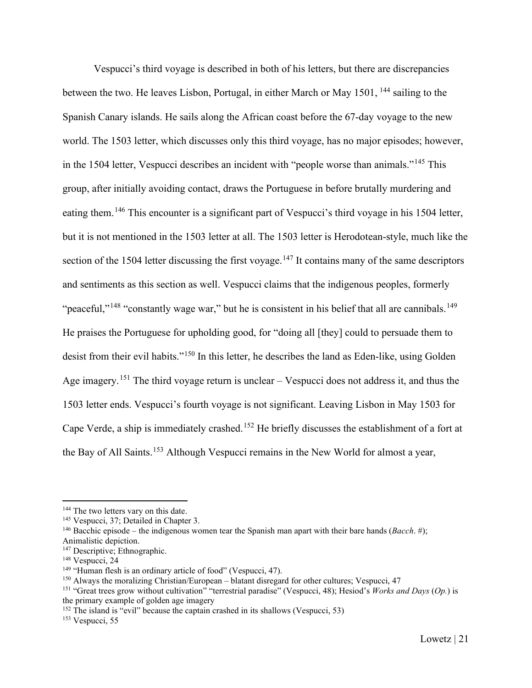Vespucci's third voyage is described in both of his letters, but there are discrepancies between the two. He leaves Lisbon, Portugal, in either March or May 1501, <sup>[144](#page-21-0)</sup> sailing to the Spanish Canary islands. He sails along the African coast before the 67-day voyage to the new world. The 1503 letter, which discusses only this third voyage, has no major episodes; however, in the 1504 letter, Vespucci describes an incident with "people worse than animals."[145](#page-21-1) This group, after initially avoiding contact, draws the Portuguese in before brutally murdering and eating them.[146](#page-21-2) This encounter is a significant part of Vespucci's third voyage in his 1504 letter, but it is not mentioned in the 1503 letter at all. The 1503 letter is Herodotean-style, much like the section of the 1504 letter discussing the first voyage.<sup>[147](#page-21-3)</sup> It contains many of the same descriptors and sentiments as this section as well. Vespucci claims that the indigenous peoples, formerly "peaceful,"<sup>[148](#page-21-4)</sup> "constantly wage war," but he is consistent in his belief that all are cannibals.<sup>[149](#page-21-5)</sup> He praises the Portuguese for upholding good, for "doing all [they] could to persuade them to desist from their evil habits."[150](#page-21-6) In this letter, he describes the land as Eden-like, using Golden Age imagery.<sup>[151](#page-21-7)</sup> The third voyage return is unclear – Vespucci does not address it, and thus the 1503 letter ends. Vespucci's fourth voyage is not significant. Leaving Lisbon in May 1503 for Cape Verde, a ship is immediately crashed.[152](#page-21-8) He briefly discusses the establishment of a fort at the Bay of All Saints.<sup>[153](#page-21-9)</sup> Although Vespucci remains in the New World for almost a year,

<span id="page-21-9"></span><sup>153</sup> Vespucci, 55

<span id="page-21-0"></span><sup>&</sup>lt;sup>144</sup> The two letters vary on this date.

<span id="page-21-1"></span><sup>145</sup> Vespucci, 37; Detailed in Chapter 3.

<span id="page-21-2"></span><sup>146</sup> Bacchic episode – the indigenous women tear the Spanish man apart with their bare hands (*Bacch*. #); Animalistic depiction.

<span id="page-21-3"></span><sup>&</sup>lt;sup>147</sup> Descriptive; Ethnographic.

<span id="page-21-4"></span><sup>&</sup>lt;sup>148</sup> Vespucci, 24

<span id="page-21-5"></span><sup>&</sup>lt;sup>149</sup> "Human flesh is an ordinary article of food" (Vespucci, 47).

<span id="page-21-6"></span><sup>150</sup> Always the moralizing Christian/European – blatant disregard for other cultures; Vespucci, 47

<span id="page-21-7"></span><sup>151</sup> "Great trees grow without cultivation" "terrestrial paradise" (Vespucci, 48); Hesiod's *Works and Days* (*Op.*) is the primary example of golden age imagery

<span id="page-21-8"></span> $152$  The island is "evil" because the captain crashed in its shallows (Vespucci, 53)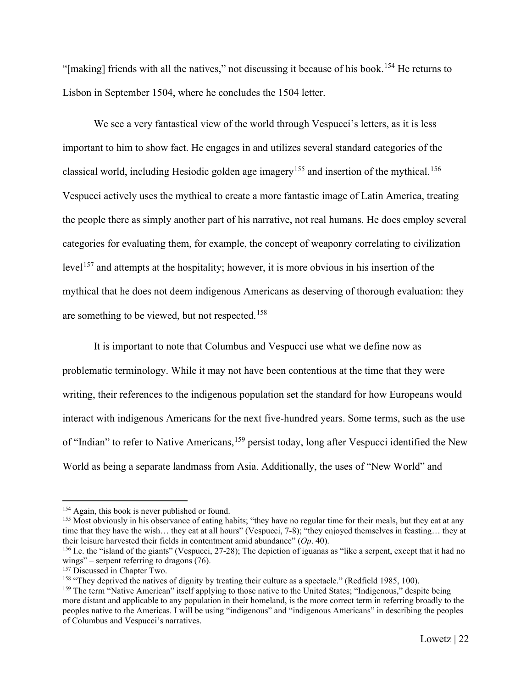"[making] friends with all the natives," not discussing it because of his book.[154](#page-22-0) He returns to Lisbon in September 1504, where he concludes the 1504 letter.

We see a very fantastical view of the world through Vespucci's letters, as it is less important to him to show fact. He engages in and utilizes several standard categories of the classical world, including Hesiodic golden age imagery<sup>[155](#page-22-1)</sup> and insertion of the mythical.<sup>[156](#page-22-2)</sup> Vespucci actively uses the mythical to create a more fantastic image of Latin America, treating the people there as simply another part of his narrative, not real humans. He does employ several categories for evaluating them, for example, the concept of weaponry correlating to civilization level<sup>[157](#page-22-3)</sup> and attempts at the hospitality; however, it is more obvious in his insertion of the mythical that he does not deem indigenous Americans as deserving of thorough evaluation: they are something to be viewed, but not respected.<sup>[158](#page-22-4)</sup>

It is important to note that Columbus and Vespucci use what we define now as problematic terminology. While it may not have been contentious at the time that they were writing, their references to the indigenous population set the standard for how Europeans would interact with indigenous Americans for the next five-hundred years. Some terms, such as the use of "Indian" to refer to Native Americans, <sup>[159](#page-22-5)</sup> persist today, long after Vespucci identified the New World as being a separate landmass from Asia. Additionally, the uses of "New World" and

<span id="page-22-1"></span><span id="page-22-0"></span><sup>&</sup>lt;sup>154</sup> Again, this book is never published or found.<br><sup>155</sup> Most obviously in his observance of eating habits; "they have no regular time for their meals, but they eat at any time that they have the wish… they eat at all hours" (Vespucci, 7-8); "they enjoyed themselves in feasting… they at their leisure harvested their fields in contentment amid abundance" (*Op*. 40).

<span id="page-22-2"></span><sup>&</sup>lt;sup>156</sup> I.e. the "island of the giants" (Vespucci, 27-28); The depiction of iguanas as "like a serpent, except that it had no wings" – serpent referring to dragons (76).

<span id="page-22-3"></span><sup>&</sup>lt;sup>157</sup> Discussed in Chapter Two.

<span id="page-22-4"></span><sup>158</sup> "They deprived the natives of dignity by treating their culture as a spectacle." (Redfield 1985, 100).

<span id="page-22-5"></span><sup>&</sup>lt;sup>159</sup> The term "Native American" itself applying to those native to the United States; "Indigenous," despite being more distant and applicable to any population in their homeland, is the more correct term in referring broadly to the peoples native to the Americas. I will be using "indigenous" and "indigenous Americans" in describing the peoples of Columbus and Vespucci's narratives.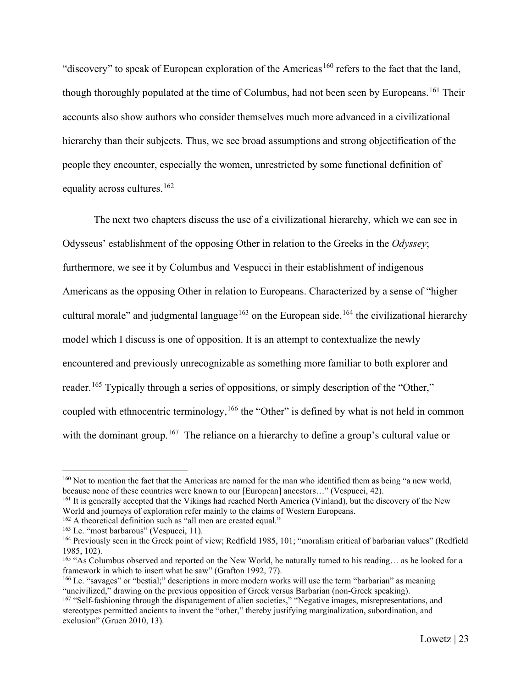"discovery" to speak of European exploration of the Americas<sup>[160](#page-23-0)</sup> refers to the fact that the land, though thoroughly populated at the time of Columbus, had not been seen by Europeans.<sup>[161](#page-23-1)</sup> Their accounts also show authors who consider themselves much more advanced in a civilizational hierarchy than their subjects. Thus, we see broad assumptions and strong objectification of the people they encounter, especially the women, unrestricted by some functional definition of equality across cultures.<sup>[162](#page-23-2)</sup>

The next two chapters discuss the use of a civilizational hierarchy, which we can see in Odysseus' establishment of the opposing Other in relation to the Greeks in the *Odyssey*; furthermore, we see it by Columbus and Vespucci in their establishment of indigenous Americans as the opposing Other in relation to Europeans. Characterized by a sense of "higher cultural morale" and judgmental language<sup>[163](#page-23-3)</sup> on the European side,<sup>[164](#page-23-4)</sup> the civilizational hierarchy model which I discuss is one of opposition. It is an attempt to contextualize the newly encountered and previously unrecognizable as something more familiar to both explorer and reader.<sup>[165](#page-23-5)</sup> Typically through a series of oppositions, or simply description of the "Other," coupled with ethnocentric terminology,<sup>[166](#page-23-6)</sup> the "Other" is defined by what is not held in common with the dominant group.<sup>[167](#page-23-7)</sup> The reliance on a hierarchy to define a group's cultural value or

<span id="page-23-0"></span><sup>&</sup>lt;sup>160</sup> Not to mention the fact that the Americas are named for the man who identified them as being "a new world, because none of these countries were known to our [European] ancestors…" (Vespucci, 42).

<span id="page-23-1"></span><sup>161</sup> It is generally accepted that the Vikings had reached North America (Vinland), but the discovery of the New World and journeys of exploration refer mainly to the claims of Western Europeans.

<span id="page-23-2"></span><sup>162</sup> A theoretical definition such as "all men are created equal."

<span id="page-23-3"></span><sup>&</sup>lt;sup>163</sup> I.e. "most barbarous" (Vespucci, 11).

<span id="page-23-4"></span><sup>&</sup>lt;sup>164</sup> Previously seen in the Greek point of view; Redfield 1985, 101; "moralism critical of barbarian values" (Redfield 1985, 102).

<span id="page-23-5"></span><sup>165</sup> "As Columbus observed and reported on the New World, he naturally turned to his reading… as he looked for a framework in which to insert what he saw" (Grafton 1992, 77).

<span id="page-23-6"></span><sup>&</sup>lt;sup>166</sup> I.e. "savages" or "bestial;" descriptions in more modern works will use the term "barbarian" as meaning "uncivilized," drawing on the previous opposition of Greek versus Barbarian (non-Greek speaking).

<span id="page-23-7"></span><sup>&</sup>lt;sup>167</sup> "Self-fashioning through the disparagement of alien societies," "Negative images, misrepresentations, and stereotypes permitted ancients to invent the "other," thereby justifying marginalization, subordination, and exclusion" (Gruen 2010, 13).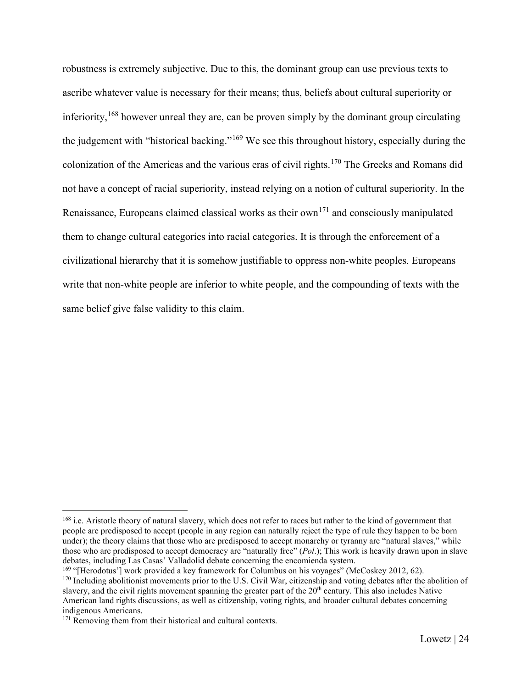robustness is extremely subjective. Due to this, the dominant group can use previous texts to ascribe whatever value is necessary for their means; thus, beliefs about cultural superiority or inferiority,  $168$  however unreal they are, can be proven simply by the dominant group circulating the judgement with "historical backing."<sup>[169](#page-24-1)</sup> We see this throughout history, especially during the colonization of the Americas and the various eras of civil rights.[170](#page-24-2) The Greeks and Romans did not have a concept of racial superiority, instead relying on a notion of cultural superiority. In the Renaissance, Europeans claimed classical works as their own<sup>[171](#page-24-3)</sup> and consciously manipulated them to change cultural categories into racial categories. It is through the enforcement of a civilizational hierarchy that it is somehow justifiable to oppress non-white peoples. Europeans write that non-white people are inferior to white people, and the compounding of texts with the same belief give false validity to this claim.

<span id="page-24-0"></span><sup>&</sup>lt;sup>168</sup> i.e. Aristotle theory of natural slavery, which does not refer to races but rather to the kind of government that people are predisposed to accept (people in any region can naturally reject the type of rule they happen to be born under); the theory claims that those who are predisposed to accept monarchy or tyranny are "natural slaves," while those who are predisposed to accept democracy are "naturally free" (*Pol*.); This work is heavily drawn upon in slave debates, including Las Casas' Valladolid debate concerning the encomienda system.

<span id="page-24-1"></span><sup>&</sup>lt;sup>169</sup> "[Herodotus'] work provided a key framework for Columbus on his voyages" (McCoskey 2012, 62).

<span id="page-24-2"></span><sup>&</sup>lt;sup>170</sup> Including abolitionist movements prior to the U.S. Civil War, citizenship and voting debates after the abolition of slavery, and the civil rights movement spanning the greater part of the  $20<sup>th</sup>$  century. This also includes Native American land rights discussions, as well as citizenship, voting rights, and broader cultural debates concerning indigenous Americans.

<span id="page-24-3"></span><sup>&</sup>lt;sup>171</sup> Removing them from their historical and cultural contexts.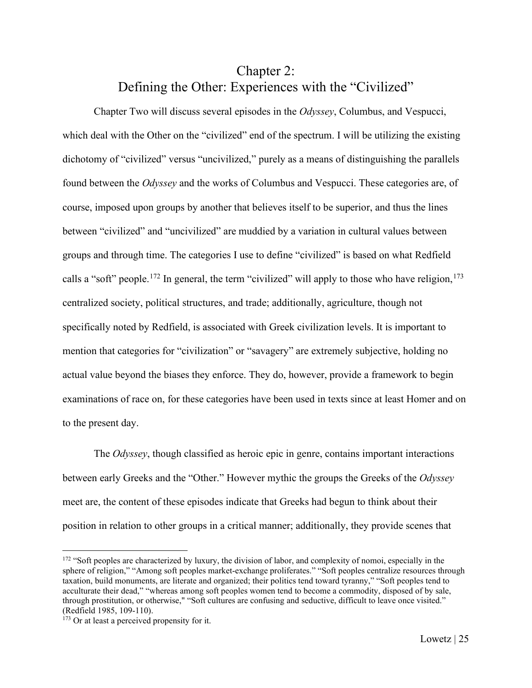# Chapter 2: Defining the Other: Experiences with the "Civilized"

<span id="page-25-0"></span>Chapter Two will discuss several episodes in the *Odyssey*, Columbus, and Vespucci, which deal with the Other on the "civilized" end of the spectrum. I will be utilizing the existing dichotomy of "civilized" versus "uncivilized," purely as a means of distinguishing the parallels found between the *Odyssey* and the works of Columbus and Vespucci. These categories are, of course, imposed upon groups by another that believes itself to be superior, and thus the lines between "civilized" and "uncivilized" are muddied by a variation in cultural values between groups and through time. The categories I use to define "civilized" is based on what Redfield calls a "soft" people.<sup>[172](#page-25-1)</sup> In general, the term "civilized" will apply to those who have religion,  $173$ centralized society, political structures, and trade; additionally, agriculture, though not specifically noted by Redfield, is associated with Greek civilization levels. It is important to mention that categories for "civilization" or "savagery" are extremely subjective, holding no actual value beyond the biases they enforce. They do, however, provide a framework to begin examinations of race on, for these categories have been used in texts since at least Homer and on to the present day.

The *Odyssey*, though classified as heroic epic in genre, contains important interactions between early Greeks and the "Other." However mythic the groups the Greeks of the *Odyssey* meet are, the content of these episodes indicate that Greeks had begun to think about their position in relation to other groups in a critical manner; additionally, they provide scenes that

<span id="page-25-1"></span><sup>&</sup>lt;sup>172</sup> "Soft peoples are characterized by luxury, the division of labor, and complexity of nomoi, especially in the sphere of religion," "Among soft peoples market-exchange proliferates." "Soft peoples centralize resources through taxation, build monuments, are literate and organized; their politics tend toward tyranny," "Soft peoples tend to acculturate their dead," "whereas among soft peoples women tend to become a commodity, disposed of by sale, through prostitution, or otherwise," "Soft cultures are confusing and seductive, difficult to leave once visited." (Redfield 1985, 109-110).

<span id="page-25-2"></span><sup>&</sup>lt;sup>173</sup> Or at least a perceived propensity for it.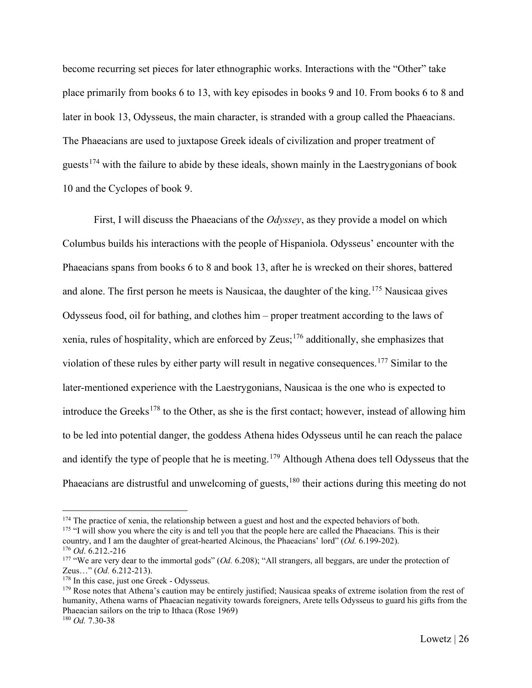become recurring set pieces for later ethnographic works. Interactions with the "Other" take place primarily from books 6 to 13, with key episodes in books 9 and 10. From books 6 to 8 and later in book 13, Odysseus, the main character, is stranded with a group called the Phaeacians. The Phaeacians are used to juxtapose Greek ideals of civilization and proper treatment of guests<sup>[174](#page-26-0)</sup> with the failure to abide by these ideals, shown mainly in the Laestrygonians of book 10 and the Cyclopes of book 9.

First, I will discuss the Phaeacians of the *Odyssey*, as they provide a model on which Columbus builds his interactions with the people of Hispaniola. Odysseus' encounter with the Phaeacians spans from books 6 to 8 and book 13, after he is wrecked on their shores, battered and alone. The first person he meets is Nausicaa, the daughter of the king.<sup>[175](#page-26-1)</sup> Nausicaa gives Odysseus food, oil for bathing, and clothes him – proper treatment according to the laws of xenia, rules of hospitality, which are enforced by Zeus;<sup>[176](#page-26-2)</sup> additionally, she emphasizes that violation of these rules by either party will result in negative consequences.<sup>[177](#page-26-3)</sup> Similar to the later-mentioned experience with the Laestrygonians, Nausicaa is the one who is expected to introduce the Greeks<sup>[178](#page-26-4)</sup> to the Other, as she is the first contact; however, instead of allowing him to be led into potential danger, the goddess Athena hides Odysseus until he can reach the palace and identify the type of people that he is meeting.<sup>[179](#page-26-5)</sup> Although Athena does tell Odysseus that the Phaeacians are distrustful and unwelcoming of guests, <sup>[180](#page-26-6)</sup> their actions during this meeting do not

<span id="page-26-0"></span><sup>&</sup>lt;sup>174</sup> The practice of xenia, the relationship between a guest and host and the expected behaviors of both.

<span id="page-26-1"></span><sup>&</sup>lt;sup>175</sup> "I will show you where the city is and tell you that the people here are called the Phaeacians. This is their country, and I am the daughter of great-hearted Alcinous, the Phaeacians' lord" (*Od.* 6.199-202).

<span id="page-26-2"></span><sup>176</sup> *Od*. 6.212.-216

<span id="page-26-3"></span><sup>177</sup> "We are very dear to the immortal gods" (*Od.* 6.208); "All strangers, all beggars, are under the protection of Zeus…" (*Od.* 6.212-213).

<span id="page-26-4"></span><sup>&</sup>lt;sup>178</sup> In this case, just one Greek - Odysseus.

<span id="page-26-5"></span><sup>&</sup>lt;sup>179</sup> Rose notes that Athena's caution may be entirely justified; Nausicaa speaks of extreme isolation from the rest of humanity, Athena warns of Phaeacian negativity towards foreigners, Arete tells Odysseus to guard his gifts from the Phaeacian sailors on the trip to Ithaca (Rose 1969)

<span id="page-26-6"></span><sup>180</sup> *Od.* 7.30-38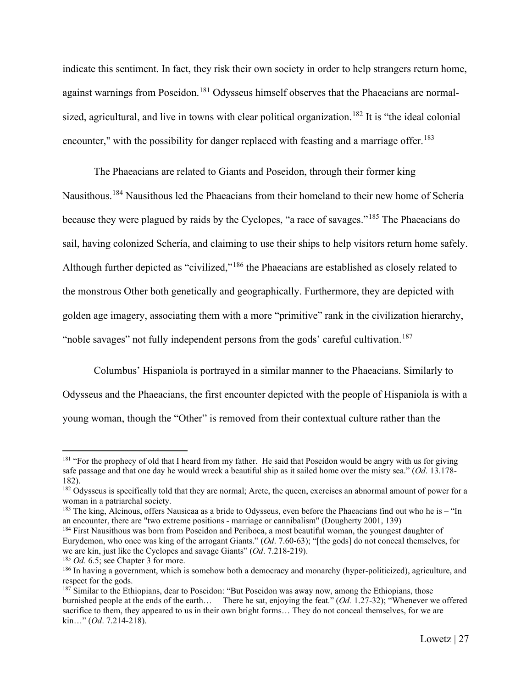indicate this sentiment. In fact, they risk their own society in order to help strangers return home, against warnings from Poseidon.<sup>[181](#page-27-0)</sup> Odysseus himself observes that the Phaeacians are normalsized, agricultural, and live in towns with clear political organization. [182](#page-27-1) It is "the ideal colonial encounter," with the possibility for danger replaced with feasting and a marriage offer.<sup>[183](#page-27-2)</sup>

The Phaeacians are related to Giants and Poseidon, through their former king Nausithous.<sup>[184](#page-27-3)</sup> Nausithous led the Phaeacians from their homeland to their new home of Schería because they were plagued by raids by the Cyclopes, "a race of savages."[185](#page-27-4) The Phaeacians do sail, having colonized Schería, and claiming to use their ships to help visitors return home safely. Although further depicted as "civilized,"[186](#page-27-5) the Phaeacians are established as closely related to the monstrous Other both genetically and geographically. Furthermore, they are depicted with golden age imagery, associating them with a more "primitive" rank in the civilization hierarchy, "noble savages" not fully independent persons from the gods' careful cultivation.<sup>[187](#page-27-6)</sup>

Columbus' Hispaniola is portrayed in a similar manner to the Phaeacians. Similarly to Odysseus and the Phaeacians, the first encounter depicted with the people of Hispaniola is with a young woman, though the "Other" is removed from their contextual culture rather than the

<span id="page-27-0"></span><sup>&</sup>lt;sup>181</sup> "For the prophecy of old that I heard from my father. He said that Poseidon would be angry with us for giving safe passage and that one day he would wreck a beautiful ship as it sailed home over the misty sea." (*Od*. 13.178- 182).

<span id="page-27-1"></span> $182$  Odysseus is specifically told that they are normal; Arete, the queen, exercises an abnormal amount of power for a woman in a patriarchal society.

<span id="page-27-2"></span> $183$  The king, Alcinous, offers Nausicaa as a bride to Odysseus, even before the Phaeacians find out who he is – "In an encounter, there are "two extreme positions - marriage or cannibalism" (Dougherty 2001, 139)

<span id="page-27-3"></span><sup>&</sup>lt;sup>184</sup> First Nausithous was born from Poseidon and Periboea, a most beautiful woman, the youngest daughter of Eurydemon, who once was king of the arrogant Giants." (*Od*. 7.60-63); "[the gods] do not conceal themselves, for we are kin, just like the Cyclopes and savage Giants" (*Od*. 7.218-219).

<span id="page-27-4"></span><sup>&</sup>lt;sup>185</sup> *Od.* 6.5; see Chapter 3 for more.

<span id="page-27-5"></span><sup>&</sup>lt;sup>186</sup> In having a government, which is somehow both a democracy and monarchy (hyper-politicized), agriculture, and respect for the gods.

<span id="page-27-6"></span><sup>&</sup>lt;sup>187</sup> Similar to the Ethiopians, dear to Poseidon: "But Poseidon was away now, among the Ethiopians, those burnished people at the ends of the earth… There he sat, enjoying the feat." (*Od.* 1.27-32); "Whenever we offered sacrifice to them, they appeared to us in their own bright forms... They do not conceal themselves, for we are kin…" (*Od*. 7.214-218).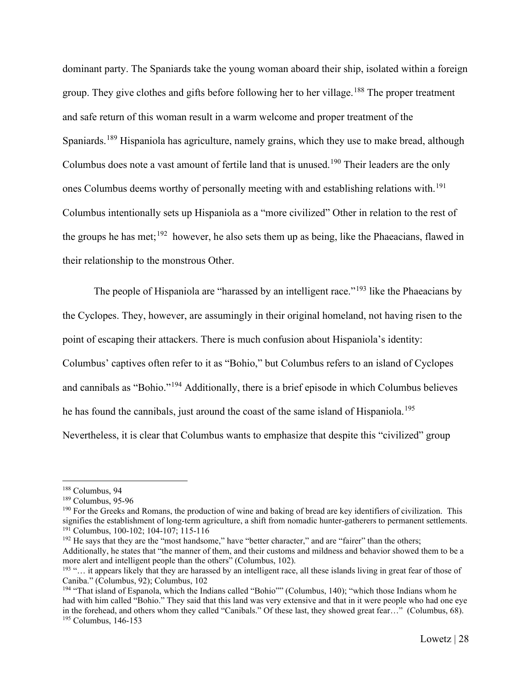dominant party. The Spaniards take the young woman aboard their ship, isolated within a foreign group. They give clothes and gifts before following her to her village.<sup>[188](#page-28-0)</sup> The proper treatment and safe return of this woman result in a warm welcome and proper treatment of the Spaniards.<sup>[189](#page-28-1)</sup> Hispaniola has agriculture, namely grains, which they use to make bread, although Columbus does note a vast amount of fertile land that is unused.<sup>[190](#page-28-2)</sup> Their leaders are the only ones Columbus deems worthy of personally meeting with and establishing relations with.[191](#page-28-3) Columbus intentionally sets up Hispaniola as a "more civilized" Other in relation to the rest of the groups he has met;<sup>192</sup> however, he also sets them up as being, like the Phaeacians, flawed in their relationship to the monstrous Other.

The people of Hispaniola are "harassed by an intelligent race."<sup>[193](#page-28-5)</sup> like the Phaeacians by the Cyclopes. They, however, are assumingly in their original homeland, not having risen to the point of escaping their attackers. There is much confusion about Hispaniola's identity: Columbus' captives often refer to it as "Bohio," but Columbus refers to an island of Cyclopes and cannibals as "Bohio."[194](#page-28-6) Additionally, there is a brief episode in which Columbus believes he has found the cannibals, just around the coast of the same island of Hispaniola.<sup>[195](#page-28-7)</sup> Nevertheless, it is clear that Columbus wants to emphasize that despite this "civilized" group

<span id="page-28-4"></span><span id="page-28-3"></span><sup>192</sup> He says that they are the "most handsome," have "better character," and are "fairer" than the others; Additionally, he states that "the manner of them, and their customs and mildness and behavior showed them to be a more alert and intelligent people than the others" (Columbus, 102).

<span id="page-28-0"></span><sup>188</sup> Columbus, 94

<span id="page-28-1"></span><sup>189</sup> Columbus, 95-96

<span id="page-28-2"></span><sup>&</sup>lt;sup>190</sup> For the Greeks and Romans, the production of wine and baking of bread are key identifiers of civilization. This signifies the establishment of long-term agriculture, a shift from nomadic hunter-gatherers to permanent settlements. <sup>191</sup> Columbus, 100-102; 104-107; 115-116

<span id="page-28-5"></span><sup>193</sup> "… it appears likely that they are harassed by an intelligent race, all these islands living in great fear of those of Caniba." (Columbus, 92); Columbus, 102

<span id="page-28-7"></span><span id="page-28-6"></span><sup>194</sup> "That island of Espanola, which the Indians called "Bohio"" (Columbus, 140); "which those Indians whom he had with him called "Bohio." They said that this land was very extensive and that in it were people who had one eye in the forehead, and others whom they called "Canibals." Of these last, they showed great fear…" (Columbus, 68). <sup>195</sup> Columbus, 146-153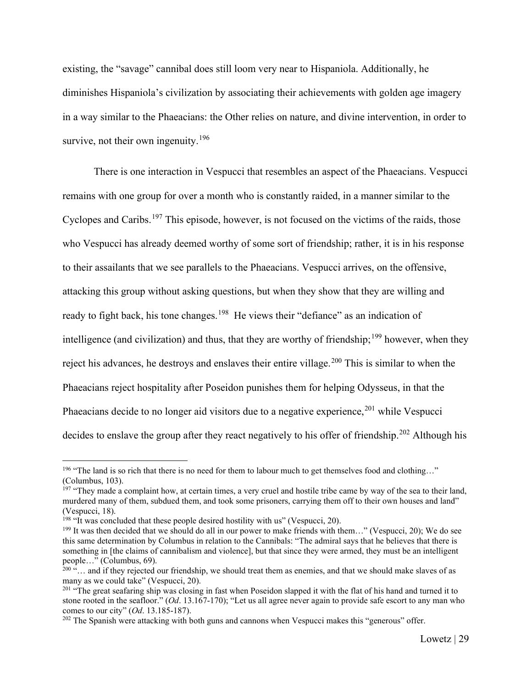existing, the "savage" cannibal does still loom very near to Hispaniola. Additionally, he diminishes Hispaniola's civilization by associating their achievements with golden age imagery in a way similar to the Phaeacians: the Other relies on nature, and divine intervention, in order to survive, not their own ingenuity.<sup>[196](#page-29-0)</sup>

There is one interaction in Vespucci that resembles an aspect of the Phaeacians. Vespucci remains with one group for over a month who is constantly raided, in a manner similar to the Cyclopes and Caribs.<sup>[197](#page-29-1)</sup> This episode, however, is not focused on the victims of the raids, those who Vespucci has already deemed worthy of some sort of friendship; rather, it is in his response to their assailants that we see parallels to the Phaeacians. Vespucci arrives, on the offensive, attacking this group without asking questions, but when they show that they are willing and ready to fight back, his tone changes.<sup>[198](#page-29-2)</sup> He views their "defiance" as an indication of intelligence (and civilization) and thus, that they are worthy of friendship;<sup>[199](#page-29-3)</sup> however, when they reject his advances, he destroys and enslaves their entire village.<sup>[200](#page-29-4)</sup> This is similar to when the Phaeacians reject hospitality after Poseidon punishes them for helping Odysseus, in that the Phaeacians decide to no longer aid visitors due to a negative experience,  $201$  while Vespucci decides to enslave the group after they react negatively to his offer of friendship.<sup>[202](#page-29-6)</sup> Although his

<span id="page-29-0"></span><sup>&</sup>lt;sup>196</sup> "The land is so rich that there is no need for them to labour much to get themselves food and clothing..." (Columbus, 103).

<span id="page-29-1"></span><sup>&</sup>lt;sup>197</sup> "They made a complaint how, at certain times, a very cruel and hostile tribe came by way of the sea to their land, murdered many of them, subdued them, and took some prisoners, carrying them off to their own houses and land" (Vespucci, 18).

<span id="page-29-2"></span><sup>&</sup>lt;sup>198</sup> "It was concluded that these people desired hostility with us" (Vespucci, 20).

<span id="page-29-3"></span><sup>&</sup>lt;sup>199</sup> It was then decided that we should do all in our power to make friends with them..." (Vespucci, 20); We do see this same determination by Columbus in relation to the Cannibals: "The admiral says that he believes that there is something in [the claims of cannibalism and violence], but that since they were armed, they must be an intelligent people…" (Columbus, 69).

<span id="page-29-4"></span> $^{200}$   $\ldots$  and if they rejected our friendship, we should treat them as enemies, and that we should make slaves of as many as we could take" (Vespucci, 20).

<span id="page-29-5"></span><sup>&</sup>lt;sup>201</sup> "The great seafaring ship was closing in fast when Poseidon slapped it with the flat of his hand and turned it to stone rooted in the seafloor." (*Od*. 13.167-170); "Let us all agree never again to provide safe escort to any man who comes to our city" (*Od*. 13.185-187).

<span id="page-29-6"></span><sup>&</sup>lt;sup>202</sup> The Spanish were attacking with both guns and cannons when Vespucci makes this "generous" offer.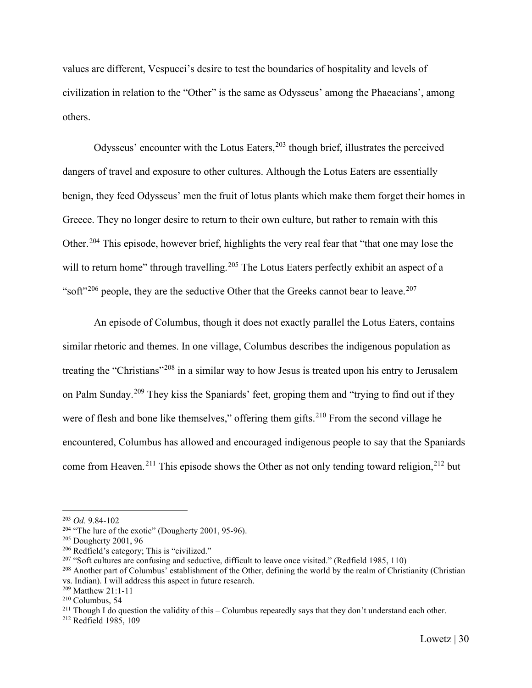values are different, Vespucci's desire to test the boundaries of hospitality and levels of civilization in relation to the "Other" is the same as Odysseus' among the Phaeacians', among others.

Odysseus' encounter with the Lotus Eaters, $203$  though brief, illustrates the perceived dangers of travel and exposure to other cultures. Although the Lotus Eaters are essentially benign, they feed Odysseus' men the fruit of lotus plants which make them forget their homes in Greece. They no longer desire to return to their own culture, but rather to remain with this Other.<sup>[204](#page-30-1)</sup> This episode, however brief, highlights the very real fear that "that one may lose the will to return home" through travelling.<sup>[205](#page-30-2)</sup> The Lotus Eaters perfectly exhibit an aspect of a "soft"<sup>[206](#page-30-3)</sup> people, they are the seductive Other that the Greeks cannot bear to leave.<sup>[207](#page-30-4)</sup>

An episode of Columbus, though it does not exactly parallel the Lotus Eaters, contains similar rhetoric and themes. In one village, Columbus describes the indigenous population as treating the "Christians"[208](#page-30-5) in a similar way to how Jesus is treated upon his entry to Jerusalem on Palm Sunday.[209](#page-30-6) They kiss the Spaniards' feet, groping them and "trying to find out if they were of flesh and bone like themselves," offering them gifts.<sup>[210](#page-30-7)</sup> From the second village he encountered, Columbus has allowed and encouraged indigenous people to say that the Spaniards come from Heaven.<sup>[211](#page-30-8)</sup> This episode shows the Other as not only tending toward religion,<sup>[212](#page-30-9)</sup> but

<span id="page-30-0"></span><sup>203</sup> *Od.* 9.84-102

<span id="page-30-1"></span><sup>&</sup>lt;sup>204</sup> "The lure of the exotic" (Dougherty 2001, 95-96).

<span id="page-30-2"></span><sup>205</sup> Dougherty 2001, 96

<span id="page-30-3"></span><sup>206</sup> Redfield's category; This is "civilized."

<span id="page-30-4"></span><sup>&</sup>lt;sup>207</sup> "Soft cultures are confusing and seductive, difficult to leave once visited." (Redfield 1985, 110)

<span id="page-30-5"></span><sup>&</sup>lt;sup>208</sup> Another part of Columbus' establishment of the Other, defining the world by the realm of Christianity (Christian vs. Indian). I will address this aspect in future research.

<span id="page-30-6"></span><sup>209</sup> Matthew 21:1-11

<span id="page-30-7"></span><sup>210</sup> Columbus, 54

<span id="page-30-8"></span><sup>&</sup>lt;sup>211</sup> Though I do question the validity of this – Columbus repeatedly says that they don't understand each other.

<span id="page-30-9"></span><sup>212</sup> Redfield 1985, 109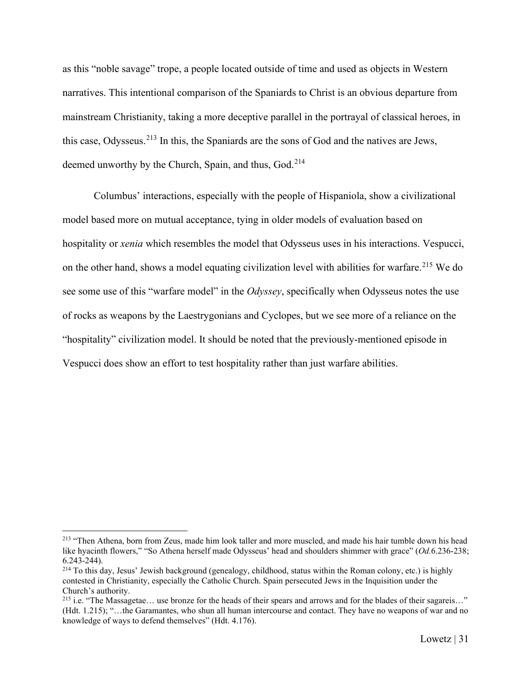as this "noble savage" trope, a people located outside of time and used as objects in Western narratives. This intentional comparison of the Spaniards to Christ is an obvious departure from mainstream Christianity, taking a more deceptive parallel in the portrayal of classical heroes, in this case, Odysseus.[213](#page-31-0) In this, the Spaniards are the sons of God and the natives are Jews, deemed unworthy by the Church, Spain, and thus, God.<sup>[214](#page-31-1)</sup>

Columbus' interactions, especially with the people of Hispaniola, show a civilizational model based more on mutual acceptance, tying in older models of evaluation based on hospitality or *xenia* which resembles the model that Odysseus uses in his interactions. Vespucci, on the other hand, shows a model equating civilization level with abilities for warfare.<sup>[215](#page-31-2)</sup> We do see some use of this "warfare model" in the *Odyssey*, specifically when Odysseus notes the use of rocks as weapons by the Laestrygonians and Cyclopes, but we see more of a reliance on the "hospitality" civilization model. It should be noted that the previously-mentioned episode in Vespucci does show an effort to test hospitality rather than just warfare abilities.

<span id="page-31-0"></span><sup>&</sup>lt;sup>213</sup> "Then Athena, born from Zeus, made him look taller and more muscled, and made his hair tumble down his head like hyacinth flowers," "So Athena herself made Odysseus' head and shoulders shimmer with grace" (*Od.*6.236-238; 6.243-244).

<span id="page-31-1"></span><sup>&</sup>lt;sup>214</sup> To this day, Jesus' Jewish background (genealogy, childhood, status within the Roman colony, etc.) is highly contested in Christianity, especially the Catholic Church. Spain persecuted Jews in the Inquisition under the Church's authority.

<span id="page-31-2"></span><sup>&</sup>lt;sup>215</sup> i.e. "The Massagetae... use bronze for the heads of their spears and arrows and for the blades of their sagareis..." (Hdt. 1.215); "…the Garamantes, who shun all human intercourse and contact. They have no weapons of war and no knowledge of ways to defend themselves" (Hdt. 4.176).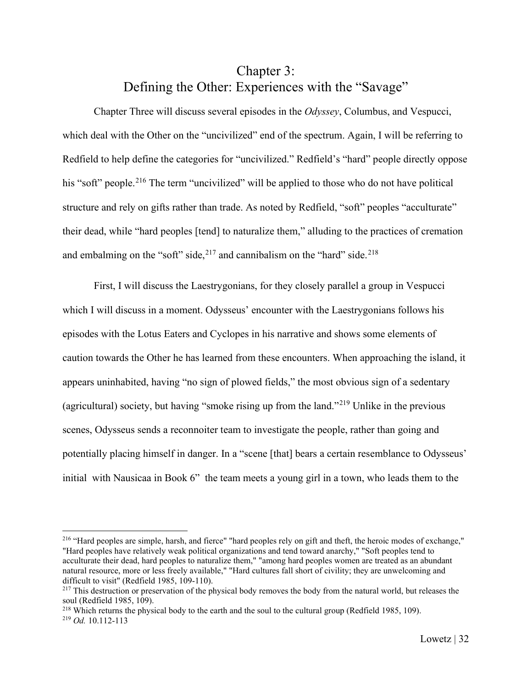# Chapter 3: Defining the Other: Experiences with the "Savage"

<span id="page-32-0"></span>Chapter Three will discuss several episodes in the *Odyssey*, Columbus, and Vespucci, which deal with the Other on the "uncivilized" end of the spectrum. Again, I will be referring to Redfield to help define the categories for "uncivilized." Redfield's "hard" people directly oppose his "soft" people.<sup>[216](#page-32-1)</sup> The term "uncivilized" will be applied to those who do not have political structure and rely on gifts rather than trade. As noted by Redfield, "soft" peoples "acculturate" their dead, while "hard peoples [tend] to naturalize them," alluding to the practices of cremation and embalming on the "soft" side,  $2^{17}$  and cannibalism on the "hard" side.  $2^{18}$ 

First, I will discuss the Laestrygonians, for they closely parallel a group in Vespucci which I will discuss in a moment. Odysseus' encounter with the Laestrygonians follows his episodes with the Lotus Eaters and Cyclopes in his narrative and shows some elements of caution towards the Other he has learned from these encounters. When approaching the island, it appears uninhabited, having "no sign of plowed fields," the most obvious sign of a sedentary (agricultural) society, but having "smoke rising up from the land."<sup>[219](#page-32-4)</sup> Unlike in the previous scenes, Odysseus sends a reconnoiter team to investigate the people, rather than going and potentially placing himself in danger. In a "scene [that] bears a certain resemblance to Odysseus' initial with Nausicaa in Book 6" the team meets a young girl in a town, who leads them to the

<span id="page-32-1"></span><sup>&</sup>lt;sup>216</sup> "Hard peoples are simple, harsh, and fierce" "hard peoples rely on gift and theft, the heroic modes of exchange," "Hard peoples have relatively weak political organizations and tend toward anarchy," "Soft peoples tend to acculturate their dead, hard peoples to naturalize them," "among hard peoples women are treated as an abundant natural resource, more or less freely available," "Hard cultures fall short of civility; they are unwelcoming and difficult to visit" (Redfield 1985, 109-110).

<span id="page-32-2"></span><sup>&</sup>lt;sup>217</sup> This destruction or preservation of the physical body removes the body from the natural world, but releases the soul (Redfield 1985, 109).

<span id="page-32-4"></span><span id="page-32-3"></span><sup>&</sup>lt;sup>218</sup> Which returns the physical body to the earth and the soul to the cultural group (Redfield 1985, 109). <sup>219</sup> *Od.* 10.112-113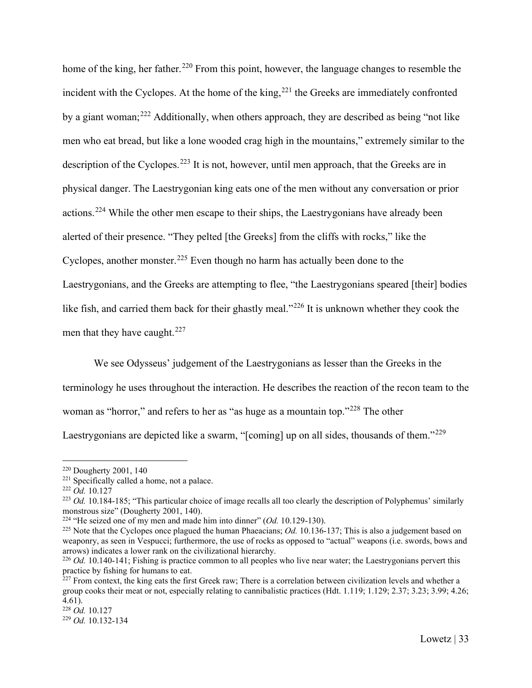home of the king, her father.<sup>[220](#page-33-0)</sup> From this point, however, the language changes to resemble the incident with the Cyclopes. At the home of the king, $^{221}$  $^{221}$  $^{221}$  the Greeks are immediately confronted by a giant woman;<sup>[222](#page-33-2)</sup> Additionally, when others approach, they are described as being "not like men who eat bread, but like a lone wooded crag high in the mountains," extremely similar to the description of the Cyclopes.<sup>[223](#page-33-3)</sup> It is not, however, until men approach, that the Greeks are in physical danger. The Laestrygonian king eats one of the men without any conversation or prior actions.<sup>[224](#page-33-4)</sup> While the other men escape to their ships, the Laestrygonians have already been alerted of their presence. "They pelted [the Greeks] from the cliffs with rocks," like the Cyclopes, another monster.<sup>[225](#page-33-5)</sup> Even though no harm has actually been done to the Laestrygonians, and the Greeks are attempting to flee, "the Laestrygonians speared [their] bodies like fish, and carried them back for their ghastly meal."<sup>[226](#page-33-6)</sup> It is unknown whether they cook the men that they have caught. $227$ 

We see Odysseus' judgement of the Laestrygonians as lesser than the Greeks in the terminology he uses throughout the interaction. He describes the reaction of the recon team to the woman as "horror," and refers to her as "as huge as a mountain top."<sup>[228](#page-33-8)</sup> The other Laestrygonians are depicted like a swarm, "[coming] up on all sides, thousands of them."<sup>[229](#page-33-9)</sup>

<span id="page-33-0"></span><sup>220</sup> Dougherty 2001, 140

<span id="page-33-1"></span><sup>&</sup>lt;sup>221</sup> Specifically called a home, not a palace.

<span id="page-33-2"></span><sup>222</sup> *Od.* 10.127

<span id="page-33-3"></span><sup>&</sup>lt;sup>223</sup> *Od.* 10.184-185; "This particular choice of image recalls all too clearly the description of Polyphemus' similarly monstrous size" (Dougherty 2001, 140).

<span id="page-33-4"></span><sup>224</sup> "He seized one of my men and made him into dinner" (*Od.* 10.129-130).

<span id="page-33-5"></span><sup>&</sup>lt;sup>225</sup> Note that the Cyclopes once plagued the human Phaeacians; *Od.* 10.136-137; This is also a judgement based on weaponry, as seen in Vespucci; furthermore, the use of rocks as opposed to "actual" weapons (i.e. swords, bows and arrows) indicates a lower rank on the civilizational hierarchy.

<span id="page-33-6"></span><sup>&</sup>lt;sup>226</sup> *Od.* 10.140-141; Fishing is practice common to all peoples who live near water; the Laestrygonians pervert this practice by fishing for humans to eat.

<span id="page-33-7"></span> $^{227}$  From context, the king eats the first Greek raw; There is a correlation between civilization levels and whether a group cooks their meat or not, especially relating to cannibalistic practices (Hdt. 1.119; 1.129; 2.37; 3.23; 3.99; 4.26; 4.61).

<span id="page-33-8"></span><sup>228</sup> *Od.* 10.127

<span id="page-33-9"></span><sup>229</sup> *Od.* 10.132-134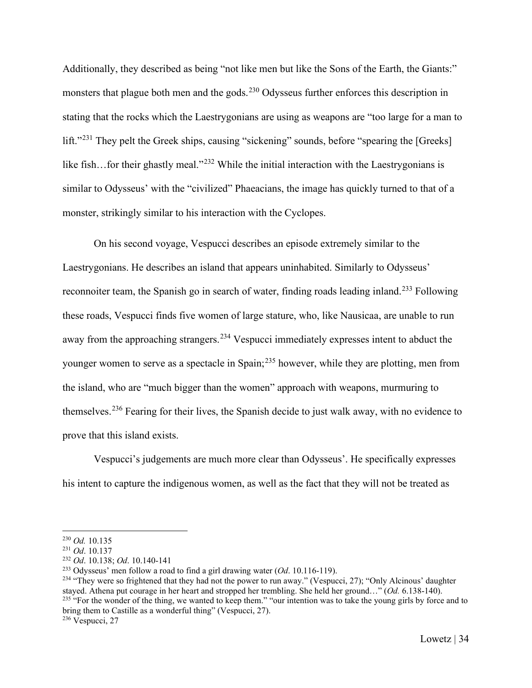Additionally, they described as being "not like men but like the Sons of the Earth, the Giants:" monsters that plague both men and the gods.<sup>[230](#page-34-0)</sup> Odysseus further enforces this description in stating that the rocks which the Laestrygonians are using as weapons are "too large for a man to lift."<sup>[231](#page-34-1)</sup> They pelt the Greek ships, causing "sickening" sounds, before "spearing the [Greeks] like fish...for their ghastly meal."<sup>[232](#page-34-2)</sup> While the initial interaction with the Laestrygonians is similar to Odysseus' with the "civilized" Phaeacians, the image has quickly turned to that of a monster, strikingly similar to his interaction with the Cyclopes.

On his second voyage, Vespucci describes an episode extremely similar to the Laestrygonians. He describes an island that appears uninhabited. Similarly to Odysseus' reconnoiter team, the Spanish go in search of water, finding roads leading inland.<sup>[233](#page-34-3)</sup> Following these roads, Vespucci finds five women of large stature, who, like Nausicaa, are unable to run away from the approaching strangers.<sup>[234](#page-34-4)</sup> Vespucci immediately expresses intent to abduct the younger women to serve as a spectacle in Spain;<sup>[235](#page-34-5)</sup> however, while they are plotting, men from the island, who are "much bigger than the women" approach with weapons, murmuring to themselves.<sup>[236](#page-34-6)</sup> Fearing for their lives, the Spanish decide to just walk away, with no evidence to prove that this island exists.

Vespucci's judgements are much more clear than Odysseus'. He specifically expresses his intent to capture the indigenous women, as well as the fact that they will not be treated as

<span id="page-34-0"></span><sup>230</sup> *Od.* 10.135

<span id="page-34-1"></span><sup>231</sup> *Od*. 10.137

<span id="page-34-3"></span><span id="page-34-2"></span><sup>&</sup>lt;sup>232</sup> *Od.* 10.138; *Od.* 10.140-141<br><sup>233</sup> Odysseus' men follow a road to find a girl drawing water (*Od.* 10.116-119).

<span id="page-34-5"></span><span id="page-34-4"></span><sup>&</sup>lt;sup>234</sup> "They were so frightened that they had not the power to run away." (Vespucci, 27); "Only Alcinous' daughter stayed. Athena put courage in her heart and stropped her trembling. She held her ground…" (*Od.* 6.138-140). <sup>235</sup> "For the wonder of the thing, we wanted to keep them." "our intention was to take the young girls by force and to bring them to Castille as a wonderful thing" (Vespucci, 27).

<span id="page-34-6"></span><sup>236</sup> Vespucci, 27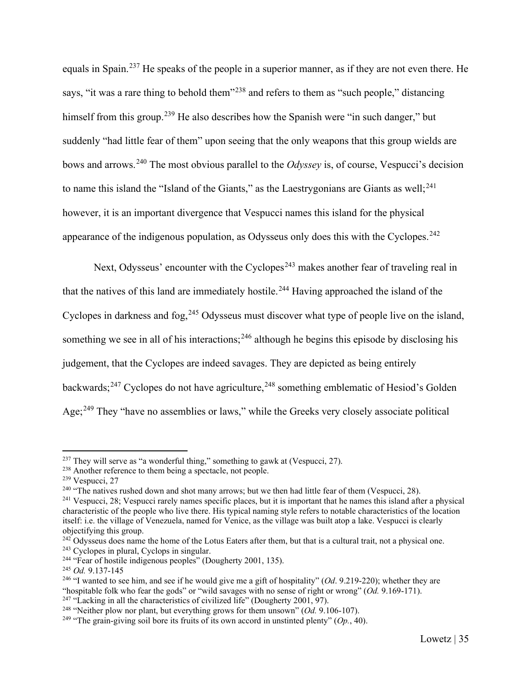equals in Spain.[237](#page-35-0) He speaks of the people in a superior manner, as if they are not even there. He says, "it was a rare thing to behold them"<sup>[238](#page-35-1)</sup> and refers to them as "such people," distancing himself from this group.<sup>[239](#page-35-2)</sup> He also describes how the Spanish were "in such danger," but suddenly "had little fear of them" upon seeing that the only weapons that this group wields are bows and arrows.[240](#page-35-3) The most obvious parallel to the *Odyssey* is, of course, Vespucci's decision to name this island the "Island of the Giants," as the Laestrygonians are Giants as well;  $241$ however, it is an important divergence that Vespucci names this island for the physical appearance of the indigenous population, as Odysseus only does this with the Cyclopes.<sup>[242](#page-35-5)</sup>

Next, Odysseus' encounter with the Cyclopes<sup> $243$ </sup> makes another fear of traveling real in that the natives of this land are immediately hostile.<sup>[244](#page-35-7)</sup> Having approached the island of the Cyclopes in darkness and fog,<sup>[245](#page-35-8)</sup> Odysseus must discover what type of people live on the island, something we see in all of his interactions;<sup>[246](#page-35-9)</sup> although he begins this episode by disclosing his judgement, that the Cyclopes are indeed savages. They are depicted as being entirely backwards;<sup>[247](#page-35-10)</sup> Cyclopes do not have agriculture,<sup>[248](#page-35-11)</sup> something emblematic of Hesiod's Golden Age;<sup>[249](#page-35-12)</sup> They "have no assemblies or laws," while the Greeks very closely associate political

<span id="page-35-0"></span> $237$  They will serve as "a wonderful thing," something to gawk at (Vespucci, 27).

<span id="page-35-1"></span><sup>&</sup>lt;sup>238</sup> Another reference to them being a spectacle, not people.

<span id="page-35-2"></span><sup>239</sup> Vespucci, 27

<span id="page-35-3"></span><sup>&</sup>lt;sup>240</sup> "The natives rushed down and shot many arrows; but we then had little fear of them (Vespucci, 28).

<span id="page-35-4"></span><sup>&</sup>lt;sup>241</sup> Vespucci, 28; Vespucci rarely names specific places, but it is important that he names this island after a physical characteristic of the people who live there. His typical naming style refers to notable characteristics of the location itself: i.e. the village of Venezuela, named for Venice, as the village was built atop a lake. Vespucci is clearly objectifying this group.

<span id="page-35-5"></span> $242$  Odysseus does name the home of the Lotus Eaters after them, but that is a cultural trait, not a physical one. <sup>243</sup> Cyclopes in plural, Cyclops in singular.

<span id="page-35-7"></span><span id="page-35-6"></span><sup>&</sup>lt;sup>244</sup> "Fear of hostile indigenous peoples" (Dougherty 2001, 135).

<span id="page-35-8"></span><sup>245</sup> *Od.* 9.137-145

<span id="page-35-9"></span><sup>&</sup>lt;sup>246</sup> "I wanted to see him, and see if he would give me a gift of hospitality" (*Od.* 9.219-220); whether they are "hospitable folk who fear the gods" or "wild savages with no sense of right or wrong" (*Od.* 9.169-171). <sup>247</sup> "Lacking in all the characteristics of civilized life" (Dougherty 2001, 97).

<span id="page-35-11"></span><span id="page-35-10"></span><sup>248</sup> "Neither plow nor plant, but everything grows for them unsown" (*Od.* 9.106-107).

<span id="page-35-12"></span><sup>&</sup>lt;sup>249</sup> "The grain-giving soil bore its fruits of its own accord in unstinted plenty" ( $Op$ , 40).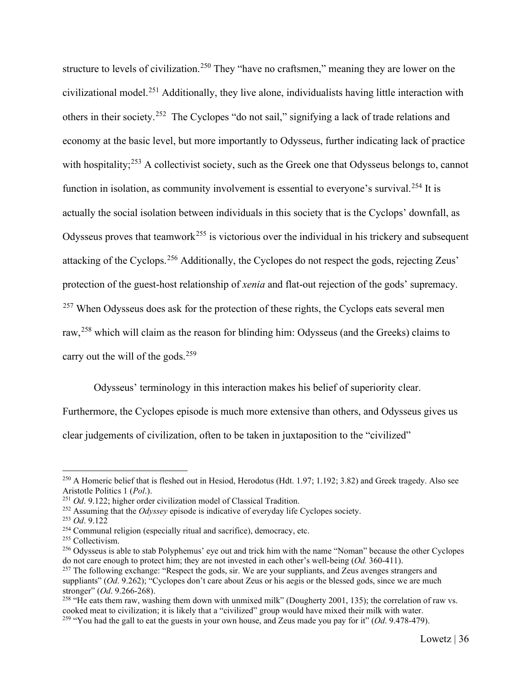structure to levels of civilization.<sup>[250](#page-36-0)</sup> They "have no craftsmen," meaning they are lower on the civilizational model.[251](#page-36-1) Additionally, they live alone, individualists having little interaction with others in their society.<sup>[252](#page-36-2)</sup> The Cyclopes "do not sail," signifying a lack of trade relations and economy at the basic level, but more importantly to Odysseus, further indicating lack of practice with hospitality;<sup>[253](#page-36-3)</sup> A collectivist society, such as the Greek one that Odysseus belongs to, cannot function in isolation, as community involvement is essential to everyone's survival.<sup>[254](#page-36-4)</sup> It is actually the social isolation between individuals in this society that is the Cyclops' downfall, as Odysseus proves that teamwork<sup>[255](#page-36-5)</sup> is victorious over the individual in his trickery and subsequent attacking of the Cyclops.[256](#page-36-6) Additionally, the Cyclopes do not respect the gods, rejecting Zeus' protection of the guest-host relationship of *xenia* and flat-out rejection of the gods' supremacy. <sup>[257](#page-36-7)</sup> When Odysseus does ask for the protection of these rights, the Cyclops eats several men raw,<sup>[258](#page-36-8)</sup> which will claim as the reason for blinding him: Odysseus (and the Greeks) claims to carry out the will of the gods.<sup>[259](#page-36-9)</sup>

Odysseus' terminology in this interaction makes his belief of superiority clear.

Furthermore, the Cyclopes episode is much more extensive than others, and Odysseus gives us clear judgements of civilization, often to be taken in juxtaposition to the "civilized"

<span id="page-36-0"></span><sup>&</sup>lt;sup>250</sup> A Homeric belief that is fleshed out in Hesiod, Herodotus (Hdt. 1.97; 1.192; 3.82) and Greek tragedy. Also see Aristotle Politics 1 (*Pol*.).

<span id="page-36-1"></span><sup>251</sup> *Od*. 9.122; higher order civilization model of Classical Tradition.

<span id="page-36-2"></span><sup>252</sup> Assuming that the *Odyssey* episode is indicative of everyday life Cyclopes society.

<span id="page-36-3"></span><sup>253</sup> *Od*. 9.122

<span id="page-36-4"></span><sup>254</sup> Communal religion (especially ritual and sacrifice), democracy, etc.

<span id="page-36-5"></span><sup>255</sup> Collectivism.

<span id="page-36-6"></span><sup>&</sup>lt;sup>256</sup> Odysseus is able to stab Polyphemus' eye out and trick him with the name "Noman" because the other Cyclopes do not care enough to protect him; they are not invested in each other's well-being (*Od.* 360-411).

<span id="page-36-7"></span> $^{257}$  The following exchange: "Respect the gods, sir. We are your suppliants, and Zeus avenges strangers and suppliants" (*Od.* 9.262); "Cyclopes don't care about Zeus or his aegis or the blessed gods, since we are much stronger" (*Od*. 9.266-268).

<span id="page-36-9"></span><span id="page-36-8"></span><sup>&</sup>lt;sup>258</sup> "He eats them raw, washing them down with unmixed milk" (Dougherty 2001, 135); the correlation of raw vs. cooked meat to civilization; it is likely that a "civilized" group would have mixed their milk with water. <sup>259</sup> "You had the gall to eat the guests in your own house, and Zeus made you pay for it" (*Od*. 9.478-479).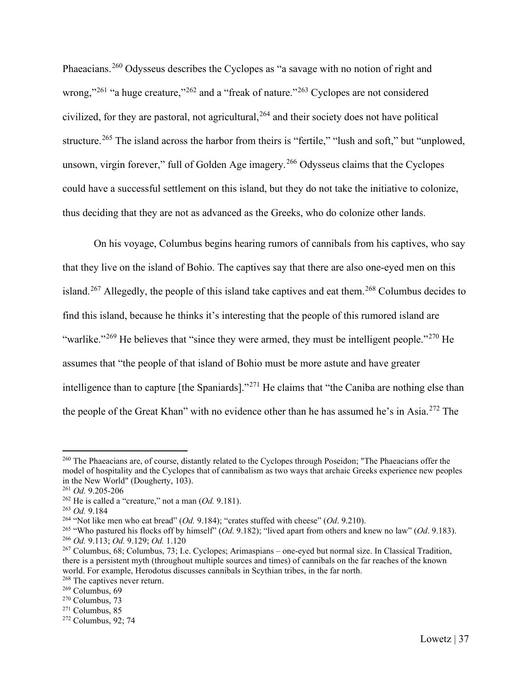Phaeacians.[260](#page-37-0) Odysseus describes the Cyclopes as "a savage with no notion of right and wrong,"<sup>[261](#page-37-1)</sup> "a huge creature,"<sup>[262](#page-37-2)</sup> and a "freak of nature."<sup>[263](#page-37-3)</sup> Cyclopes are not considered civilized, for they are pastoral, not agricultural,  $264$  and their society does not have political structure.<sup>[265](#page-37-5)</sup> The island across the harbor from theirs is "fertile," "lush and soft," but "unplowed, unsown, virgin forever," full of Golden Age imagery.<sup>[266](#page-37-6)</sup> Odysseus claims that the Cyclopes could have a successful settlement on this island, but they do not take the initiative to colonize, thus deciding that they are not as advanced as the Greeks, who do colonize other lands.

On his voyage, Columbus begins hearing rumors of cannibals from his captives, who say that they live on the island of Bohio. The captives say that there are also one-eyed men on this island.<sup>[267](#page-37-7)</sup> Allegedly, the people of this island take captives and eat them.<sup>[268](#page-37-8)</sup> Columbus decides to find this island, because he thinks it's interesting that the people of this rumored island are "warlike."<sup>[269](#page-37-9)</sup> He believes that "since they were armed, they must be intelligent people."<sup>[270](#page-37-10)</sup> He assumes that "the people of that island of Bohio must be more astute and have greater intelligence than to capture [the Spaniards]."[271](#page-37-11) He claims that "the Caniba are nothing else than the people of the Great Khan" with no evidence other than he has assumed he's in Asia.[272](#page-37-12) The

<span id="page-37-0"></span><sup>&</sup>lt;sup>260</sup> The Phaeacians are, of course, distantly related to the Cyclopes through Poseidon; "The Phaeacians offer the model of hospitality and the Cyclopes that of cannibalism as two ways that archaic Greeks experience new peoples in the New World" (Dougherty, 103).

<span id="page-37-1"></span><sup>261</sup> *Od.* 9.205-206

<span id="page-37-2"></span><sup>262</sup> He is called a "creature," not a man (*Od.* 9.181).

<span id="page-37-3"></span><sup>263</sup> *Od.* 9.184

<span id="page-37-4"></span><sup>264</sup> "Not like men who eat bread" (*Od.* 9.184); "crates stuffed with cheese" (*Od*. 9.210).

<span id="page-37-5"></span><sup>265</sup> "Who pastured his flocks off by himself" (*Od*. 9.182); "lived apart from others and knew no law" (*Od*. 9.183). <sup>266</sup> *Od.* 9.113; *Od.* 9.129; *Od.* 1.120

<span id="page-37-7"></span><span id="page-37-6"></span><sup>267</sup> Columbus, 68; Columbus, 73; I.e. Cyclopes; Arimaspians – one-eyed but normal size. In Classical Tradition, there is a persistent myth (throughout multiple sources and times) of cannibals on the far reaches of the known world. For example, Herodotus discusses cannibals in Scythian tribes, in the far north.

<span id="page-37-8"></span><sup>&</sup>lt;sup>268</sup> The captives never return.

<span id="page-37-9"></span><sup>269</sup> Columbus, 69

<span id="page-37-10"></span><sup>270</sup> Columbus, 73

<span id="page-37-11"></span> $271$  Columbus, 85

<span id="page-37-12"></span><sup>272</sup> Columbus, 92; 74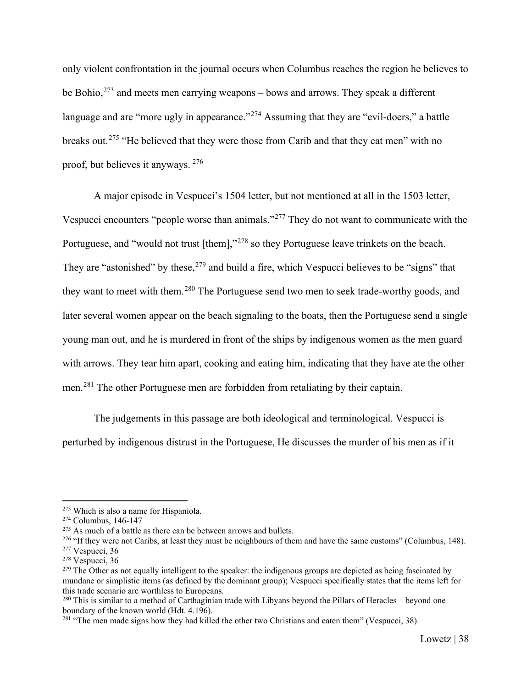only violent confrontation in the journal occurs when Columbus reaches the region he believes to be Bohio,<sup>[273](#page-38-0)</sup> and meets men carrying weapons – bows and arrows. They speak a different language and are "more ugly in appearance."<sup>[274](#page-38-1)</sup> Assuming that they are "evil-doers," a battle breaks out.<sup>[275](#page-38-2)</sup> "He believed that they were those from Carib and that they eat men" with no proof, but believes it anyways. [276](#page-38-3)

A major episode in Vespucci's 1504 letter, but not mentioned at all in the 1503 letter, Vespucci encounters "people worse than animals."[277](#page-38-4) They do not want to communicate with the Portuguese, and "would not trust [them],"<sup>[278](#page-38-5)</sup> so they Portuguese leave trinkets on the beach. They are "astonished" by these,<sup>[279](#page-38-6)</sup> and build a fire, which Vespucci believes to be "signs" that they want to meet with them.<sup>[280](#page-38-7)</sup> The Portuguese send two men to seek trade-worthy goods, and later several women appear on the beach signaling to the boats, then the Portuguese send a single young man out, and he is murdered in front of the ships by indigenous women as the men guard with arrows. They tear him apart, cooking and eating him, indicating that they have ate the other men.[281](#page-38-8) The other Portuguese men are forbidden from retaliating by their captain.

The judgements in this passage are both ideological and terminological. Vespucci is perturbed by indigenous distrust in the Portuguese, He discusses the murder of his men as if it

<span id="page-38-0"></span><sup>273</sup> Which is also a name for Hispaniola.

<span id="page-38-1"></span><sup>274</sup> Columbus, 146-147

<span id="page-38-2"></span> $275$  As much of a battle as there can be between arrows and bullets.

<span id="page-38-3"></span><sup>&</sup>lt;sup>276</sup> "If they were not Caribs, at least they must be neighbours of them and have the same customs" (Columbus, 148).

<span id="page-38-4"></span><sup>277</sup> Vespucci, 36

<span id="page-38-5"></span><sup>278</sup> Vespucci, 36

<span id="page-38-6"></span> $^{279}$  The Other as not equally intelligent to the speaker: the indigenous groups are depicted as being fascinated by mundane or simplistic items (as defined by the dominant group); Vespucci specifically states that the items left for this trade scenario are worthless to Europeans.

<span id="page-38-7"></span><sup>&</sup>lt;sup>280</sup> This is similar to a method of Carthaginian trade with Libyans beyond the Pillars of Heracles – beyond one boundary of the known world (Hdt. 4.196).

<span id="page-38-8"></span> $281$  "The men made signs how they had killed the other two Christians and eaten them" (Vespucci, 38).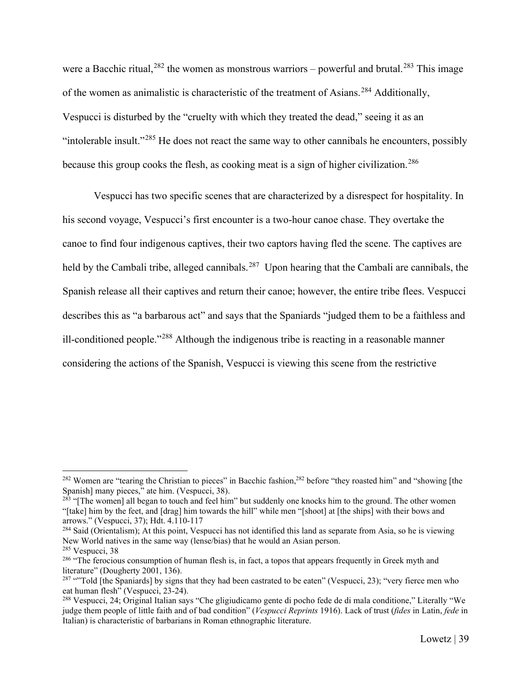were a Bacchic ritual,  $282$  the women as monstrous warriors – powerful and brutal.  $283$  This image of the women as animalistic is characteristic of the treatment of Asians.<sup>[284](#page-39-2)</sup> Additionally, Vespucci is disturbed by the "cruelty with which they treated the dead," seeing it as an "intolerable insult."[285](#page-39-3) He does not react the same way to other cannibals he encounters, possibly because this group cooks the flesh, as cooking meat is a sign of higher civilization.<sup>[286](#page-39-4)</sup>

Vespucci has two specific scenes that are characterized by a disrespect for hospitality. In his second voyage, Vespucci's first encounter is a two-hour canoe chase. They overtake the canoe to find four indigenous captives, their two captors having fled the scene. The captives are held by the Cambali tribe, alleged cannibals.<sup>287</sup> Upon hearing that the Cambali are cannibals, the Spanish release all their captives and return their canoe; however, the entire tribe flees. Vespucci describes this as "a barbarous act" and says that the Spaniards "judged them to be a faithless and ill-conditioned people."[288](#page-39-6) Although the indigenous tribe is reacting in a reasonable manner considering the actions of the Spanish, Vespucci is viewing this scene from the restrictive

<span id="page-39-0"></span><sup>&</sup>lt;sup>282</sup> Women are "tearing the Christian to pieces" in Bacchic fashion,<sup>282</sup> before "they roasted him" and "showing [the Spanish] many pieces," ate him. (Vespucci, 38).

<span id="page-39-1"></span><sup>&</sup>lt;sup>283</sup> "[The women] all began to touch and feel him" but suddenly one knocks him to the ground. The other women "[take] him by the feet, and [drag] him towards the hill" while men "[shoot] at [the ships] with their bows and arrows." (Vespucci, 37); Hdt. 4.110-117

<span id="page-39-2"></span><sup>&</sup>lt;sup>284</sup> Said (Orientalism); At this point, Vespucci has not identified this land as separate from Asia, so he is viewing New World natives in the same way (lense/bias) that he would an Asian person.<br><sup>285</sup> Vespucci, 38

<span id="page-39-3"></span>

<span id="page-39-4"></span><sup>&</sup>lt;sup>286</sup> "The ferocious consumption of human flesh is, in fact, a topos that appears frequently in Greek myth and literature" (Dougherty 2001, 136).

<span id="page-39-5"></span> $287$  "Told [the Spaniards] by signs that they had been castrated to be eaten" (Vespucci, 23); "very fierce men who eat human flesh" (Vespucci, 23-24).

<span id="page-39-6"></span><sup>288</sup> Vespucci, 24; Original Italian says "Che gligiudicamo gente di pocho fede de di mala conditione," Literally "We judge them people of little faith and of bad condition" (*Vespucci Reprints* 1916). Lack of trust (*fides* in Latin, *fede* in Italian) is characteristic of barbarians in Roman ethnographic literature.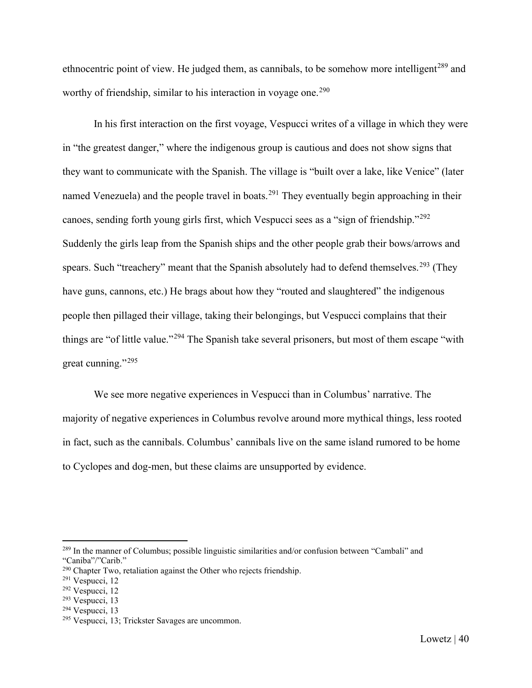ethnocentric point of view. He judged them, as cannibals, to be somehow more intelligent<sup>[289](#page-40-0)</sup> and worthy of friendship, similar to his interaction in voyage one.<sup>[290](#page-40-1)</sup>

In his first interaction on the first voyage, Vespucci writes of a village in which they were in "the greatest danger," where the indigenous group is cautious and does not show signs that they want to communicate with the Spanish. The village is "built over a lake, like Venice" (later named Venezuela) and the people travel in boats.<sup>[291](#page-40-2)</sup> They eventually begin approaching in their canoes, sending forth young girls first, which Vespucci sees as a "sign of friendship."[292](#page-40-3) Suddenly the girls leap from the Spanish ships and the other people grab their bows/arrows and spears. Such "treachery" meant that the Spanish absolutely had to defend themselves.<sup>[293](#page-40-4)</sup> (They have guns, cannons, etc.) He brags about how they "routed and slaughtered" the indigenous people then pillaged their village, taking their belongings, but Vespucci complains that their things are "of little value."<sup>[294](#page-40-5)</sup> The Spanish take several prisoners, but most of them escape "with great cunning."<sup>[295](#page-40-6)</sup>

We see more negative experiences in Vespucci than in Columbus' narrative. The majority of negative experiences in Columbus revolve around more mythical things, less rooted in fact, such as the cannibals. Columbus' cannibals live on the same island rumored to be home to Cyclopes and dog-men, but these claims are unsupported by evidence.

<span id="page-40-0"></span><sup>&</sup>lt;sup>289</sup> In the manner of Columbus; possible linguistic similarities and/or confusion between "Cambali" and "Caniba"/"Carib."

<span id="page-40-1"></span> $290$  Chapter Two, retaliation against the Other who rejects friendship.

<span id="page-40-2"></span> $291$  Vespucci, 12

<span id="page-40-3"></span><sup>292</sup> Vespucci, 12

<span id="page-40-4"></span><sup>293</sup> Vespucci, 13

<span id="page-40-5"></span> $294$  Vespucci, 13

<span id="page-40-6"></span><sup>295</sup> Vespucci, 13; Trickster Savages are uncommon.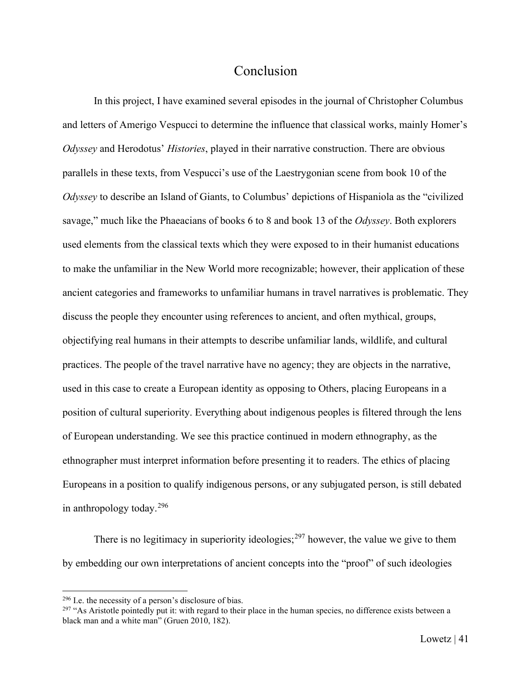## Conclusion

<span id="page-41-0"></span>In this project, I have examined several episodes in the journal of Christopher Columbus and letters of Amerigo Vespucci to determine the influence that classical works, mainly Homer's *Odyssey* and Herodotus' *Histories*, played in their narrative construction. There are obvious parallels in these texts, from Vespucci's use of the Laestrygonian scene from book 10 of the *Odyssey* to describe an Island of Giants, to Columbus' depictions of Hispaniola as the "civilized savage," much like the Phaeacians of books 6 to 8 and book 13 of the *Odyssey*. Both explorers used elements from the classical texts which they were exposed to in their humanist educations to make the unfamiliar in the New World more recognizable; however, their application of these ancient categories and frameworks to unfamiliar humans in travel narratives is problematic. They discuss the people they encounter using references to ancient, and often mythical, groups, objectifying real humans in their attempts to describe unfamiliar lands, wildlife, and cultural practices. The people of the travel narrative have no agency; they are objects in the narrative, used in this case to create a European identity as opposing to Others, placing Europeans in a position of cultural superiority. Everything about indigenous peoples is filtered through the lens of European understanding. We see this practice continued in modern ethnography, as the ethnographer must interpret information before presenting it to readers. The ethics of placing Europeans in a position to qualify indigenous persons, or any subjugated person, is still debated in anthropology today. $296$ 

There is no legitimacy in superiority ideologies;  $297$  however, the value we give to them by embedding our own interpretations of ancient concepts into the "proof" of such ideologies

<span id="page-41-1"></span> $296$  I.e. the necessity of a person's disclosure of bias.

<span id="page-41-2"></span><sup>&</sup>lt;sup>297</sup> "As Aristotle pointedly put it: with regard to their place in the human species, no difference exists between a black man and a white man" (Gruen 2010, 182).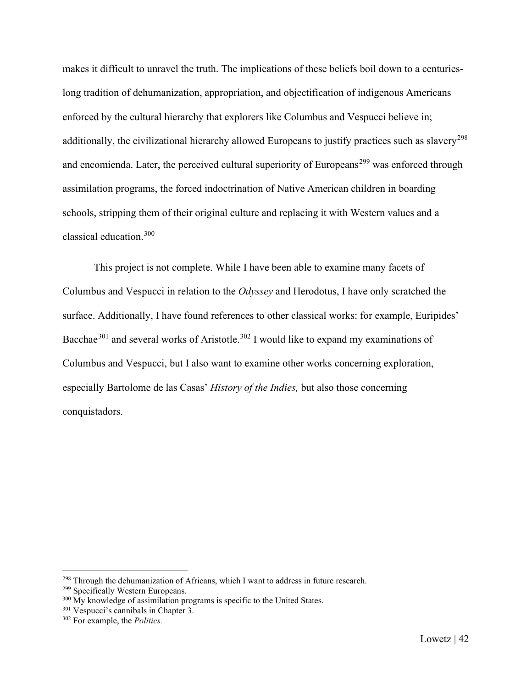makes it difficult to unravel the truth. The implications of these beliefs boil down to a centurieslong tradition of dehumanization, appropriation, and objectification of indigenous Americans enforced by the cultural hierarchy that explorers like Columbus and Vespucci believe in; additionally, the civilizational hierarchy allowed Europeans to justify practices such as slavery<sup>[298](#page-42-0)</sup> and encomienda. Later, the perceived cultural superiority of Europeans<sup>[299](#page-42-1)</sup> was enforced through assimilation programs, the forced indoctrination of Native American children in boarding schools, stripping them of their original culture and replacing it with Western values and a classical education.[300](#page-42-2)

This project is not complete. While I have been able to examine many facets of Columbus and Vespucci in relation to the *Odyssey* and Herodotus, I have only scratched the surface. Additionally, I have found references to other classical works: for example, Euripides' Bacchae<sup>[301](#page-42-3)</sup> and several works of Aristotle.<sup>[302](#page-42-4)</sup> I would like to expand my examinations of Columbus and Vespucci, but I also want to examine other works concerning exploration, especially Bartolome de las Casas' *History of the Indies,* but also those concerning conquistadors.

<span id="page-42-0"></span><sup>&</sup>lt;sup>298</sup> Through the dehumanization of Africans, which I want to address in future research.

<span id="page-42-1"></span><sup>&</sup>lt;sup>299</sup> Specifically Western Europeans.

<span id="page-42-2"></span> $300$  My knowledge of assimilation programs is specific to the United States.

<span id="page-42-3"></span><sup>301</sup> Vespucci's cannibals in Chapter 3.

<span id="page-42-4"></span><sup>302</sup> For example, the *Politics.*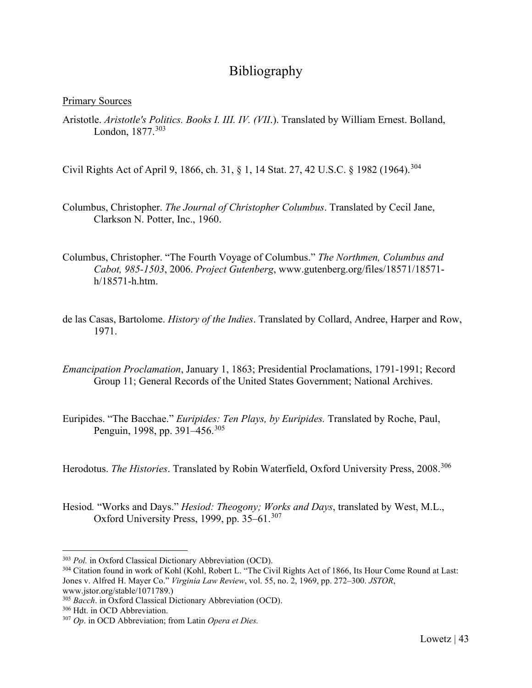# Bibliography

#### <span id="page-43-0"></span>Primary Sources

Aristotle. *Aristotle's Politics. Books I. III. IV. (VII*.). Translated by William Ernest. Bolland, London, 1877.[303](#page-43-1)

Civil Rights Act of April 9, 1866, ch. 31, § 1, 14 Stat. 27, 42 U.S.C. § 1982 (1964).[304](#page-43-2)

- Columbus, Christopher. *The Journal of Christopher Columbus*. Translated by Cecil Jane, Clarkson N. Potter, Inc., 1960.
- Columbus, Christopher. "The Fourth Voyage of Columbus." *The Northmen, Columbus and Cabot, 985-1503*, 2006. *Project Gutenberg*, www.gutenberg.org/files/18571/18571 h/18571-h.htm.
- de las Casas, Bartolome. *History of the Indies*. Translated by Collard, Andree, Harper and Row, 1971.
- *Emancipation Proclamation*, January 1, 1863; Presidential Proclamations, 1791-1991; Record Group 11; General Records of the United States Government; National Archives.
- Euripides. "The Bacchae." *Euripides: Ten Plays, by Euripides.* Translated by Roche, Paul, Penguin, 1998, pp. 391–456.<sup>[305](#page-43-3)</sup>

Herodotus. *The Histories*. Translated by Robin Waterfield, Oxford University Press, 2008.<sup>[306](#page-43-4)</sup>

Hesiod*.* "Works and Days." *Hesiod: Theogony; Works and Days*, translated by West, M.L., Oxford University Press, 1999, pp. 35–61.<sup>[307](#page-43-5)</sup>

<span id="page-43-1"></span><sup>303</sup> *Pol.* in Oxford Classical Dictionary Abbreviation (OCD).

<span id="page-43-2"></span><sup>304</sup> Citation found in work of Kohl (Kohl, Robert L. "The Civil Rights Act of 1866, Its Hour Come Round at Last: Jones v. Alfred H. Mayer Co." *Virginia Law Review*, vol. 55, no. 2, 1969, pp. 272–300. *JSTOR*, www.jstor.org/stable/1071789.)

<span id="page-43-3"></span><sup>305</sup> *Bacch*. in Oxford Classical Dictionary Abbreviation (OCD).

<span id="page-43-4"></span><sup>306</sup> Hdt. in OCD Abbreviation.

<span id="page-43-5"></span><sup>307</sup> *Op*. in OCD Abbreviation; from Latin *Opera et Dies.*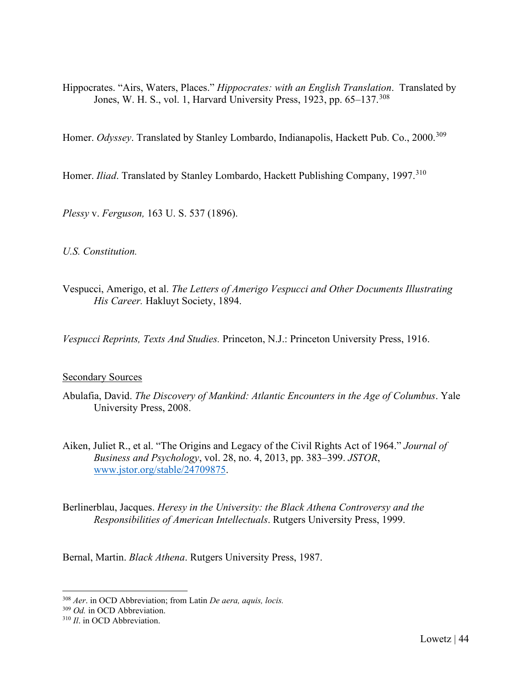Hippocrates. "Airs, Waters, Places." *Hippocrates: with an English Translation*. Translated by Jones, W. H. S., vol. 1, Harvard University Press, 1923, pp. 65–137.<sup>[308](#page-44-0)</sup>

Homer. Odyssey. Translated by Stanley Lombardo, Indianapolis, Hackett Pub. Co., 2000.<sup>[309](#page-44-1)</sup>

Homer. *Iliad*. Translated by Stanley Lombardo, Hackett Publishing Company, 1997.<sup>[310](#page-44-2)</sup>

*Plessy* v. *Ferguson,* 163 U. S. 537 (1896).

*U.S. Constitution.*

Vespucci, Amerigo, et al. *The Letters of Amerigo Vespucci and Other Documents Illustrating His Career.* Hakluyt Society, 1894.

*Vespucci Reprints, Texts And Studies.* Princeton, N.J.: Princeton University Press, 1916.

#### Secondary Sources

- Abulafia, David. *The Discovery of Mankind: Atlantic Encounters in the Age of Columbus*. Yale University Press, 2008.
- Aiken, Juliet R., et al. "The Origins and Legacy of the Civil Rights Act of 1964." *Journal of Business and Psychology*, vol. 28, no. 4, 2013, pp. 383–399. *JSTOR*, [www.jstor.org/stable/24709875.](http://www.jstor.org/stable/24709875)

Berlinerblau, Jacques. *Heresy in the University: the Black Athena Controversy and the Responsibilities of American Intellectuals*. Rutgers University Press, 1999.

Bernal, Martin. *Black Athena*. Rutgers University Press, 1987.

<span id="page-44-0"></span><sup>308</sup> *Aer*. in OCD Abbreviation; from Latin *De aera, aquis, locis.*

<span id="page-44-1"></span><sup>309</sup> *Od.* in OCD Abbreviation.

<span id="page-44-2"></span><sup>310</sup> *Il*. in OCD Abbreviation.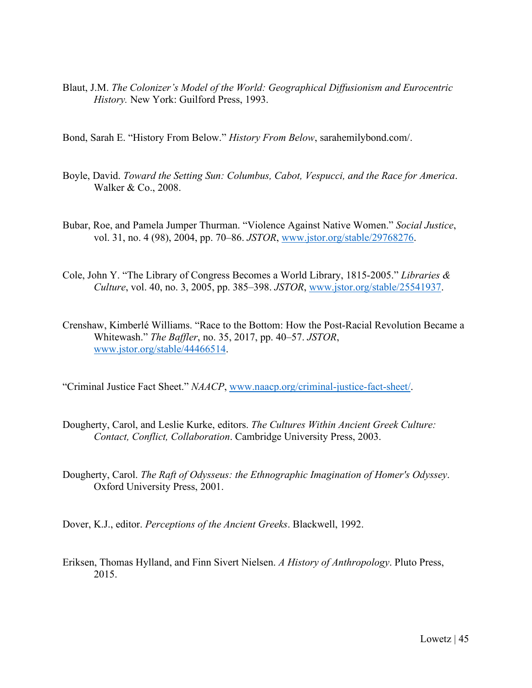- Blaut, J.M. *The Colonizer's Model of the World: Geographical Diffusionism and Eurocentric History.* New York: Guilford Press, 1993.
- Bond, Sarah E. "History From Below." *History From Below*, sarahemilybond.com/.
- Boyle, David. *Toward the Setting Sun: Columbus, Cabot, Vespucci, and the Race for America*. Walker & Co., 2008.
- Bubar, Roe, and Pamela Jumper Thurman. "Violence Against Native Women." *Social Justice*, vol. 31, no. 4 (98), 2004, pp. 70–86. *JSTOR*, [www.jstor.org/stable/29768276.](http://www.jstor.org/stable/29768276)
- Cole, John Y. "The Library of Congress Becomes a World Library, 1815-2005." *Libraries & Culture*, vol. 40, no. 3, 2005, pp. 385–398. *JSTOR*, [www.jstor.org/stable/25541937.](http://www.jstor.org/stable/25541937)
- Crenshaw, Kimberlé Williams. "Race to the Bottom: How the Post-Racial Revolution Became a Whitewash." *The Baffler*, no. 35, 2017, pp. 40–57. *JSTOR*, [www.jstor.org/stable/44466514.](http://www.jstor.org/stable/44466514)

"Criminal Justice Fact Sheet." *NAACP*, [www.naacp.org/criminal-justice-fact-sheet/.](http://www.naacp.org/criminal-justice-fact-sheet/)

- Dougherty, Carol, and Leslie Kurke, editors. *The Cultures Within Ancient Greek Culture: Contact, Conflict, Collaboration*. Cambridge University Press, 2003.
- Dougherty, Carol. *The Raft of Odysseus: the Ethnographic Imagination of Homer's Odyssey*. Oxford University Press, 2001.
- Dover, K.J., editor. *Perceptions of the Ancient Greeks*. Blackwell, 1992.
- Eriksen, Thomas Hylland, and Finn Sivert Nielsen. *A History of Anthropology*. Pluto Press, 2015.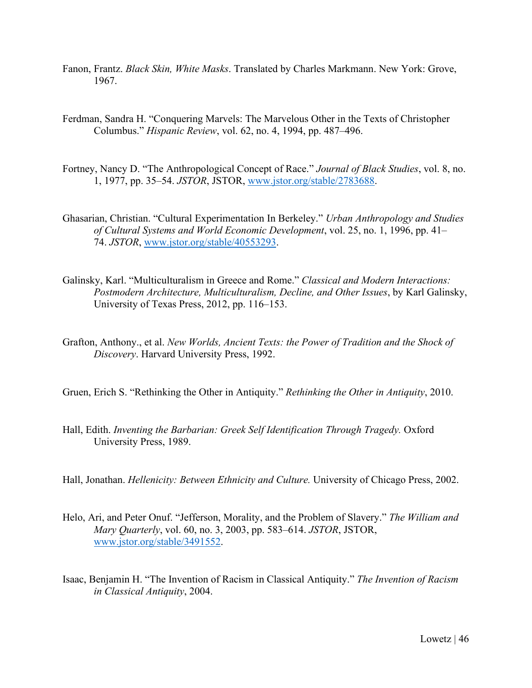- Fanon, Frantz. *Black Skin, White Masks*. Translated by Charles Markmann. New York: Grove, 1967.
- Ferdman, Sandra H. "Conquering Marvels: The Marvelous Other in the Texts of Christopher Columbus." *Hispanic Review*, vol. 62, no. 4, 1994, pp. 487–496.
- Fortney, Nancy D. "The Anthropological Concept of Race." *Journal of Black Studies*, vol. 8, no. 1, 1977, pp. 35–54. *JSTOR*, JSTOR, [www.jstor.org/stable/2783688.](http://www.jstor.org/stable/2783688)
- Ghasarian, Christian. "Cultural Experimentation In Berkeley." *Urban Anthropology and Studies of Cultural Systems and World Economic Development*, vol. 25, no. 1, 1996, pp. 41– 74. *JSTOR*, [www.jstor.org/stable/40553293.](http://www.jstor.org/stable/40553293)
- Galinsky, Karl. "Multiculturalism in Greece and Rome." *Classical and Modern Interactions: Postmodern Architecture, Multiculturalism, Decline, and Other Issues*, by Karl Galinsky, University of Texas Press, 2012, pp. 116–153.
- Grafton, Anthony., et al. *New Worlds, Ancient Texts: the Power of Tradition and the Shock of Discovery*. Harvard University Press, 1992.
- Gruen, Erich S. "Rethinking the Other in Antiquity." *Rethinking the Other in Antiquity*, 2010.
- Hall, Edith. *Inventing the Barbarian: Greek Self Identification Through Tragedy.* Oxford University Press, 1989.
- Hall, Jonathan. *Hellenicity: Between Ethnicity and Culture.* University of Chicago Press, 2002.
- Helo, Ari, and Peter Onuf. "Jefferson, Morality, and the Problem of Slavery." *The William and Mary Quarterly*, vol. 60, no. 3, 2003, pp. 583–614. *JSTOR*, JSTOR, [www.jstor.org/stable/3491552.](http://www.jstor.org/stable/3491552)
- Isaac, Benjamin H. "The Invention of Racism in Classical Antiquity." *The Invention of Racism in Classical Antiquity*, 2004.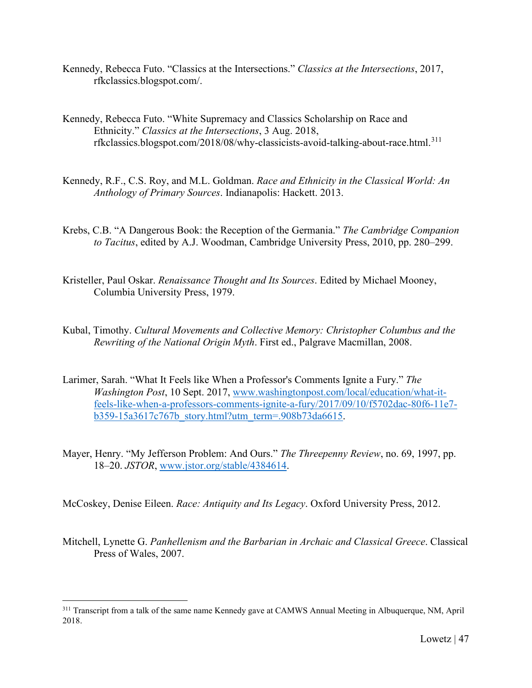- Kennedy, Rebecca Futo. "Classics at the Intersections." *Classics at the Intersections*, 2017, rfkclassics.blogspot.com/.
- Kennedy, Rebecca Futo. "White Supremacy and Classics Scholarship on Race and Ethnicity." *Classics at the Intersections*, 3 Aug. 2018, rfkclassics.blogspot.com/2018/08/why-classicists-avoid-talking-about-race.html.[311](#page-47-0)
- Kennedy, R.F., C.S. Roy, and M.L. Goldman. *Race and Ethnicity in the Classical World: An Anthology of Primary Sources*. Indianapolis: Hackett. 2013.
- Krebs, C.B. "A Dangerous Book: the Reception of the Germania." *The Cambridge Companion to Tacitus*, edited by A.J. Woodman, Cambridge University Press, 2010, pp. 280–299.
- Kristeller, Paul Oskar. *Renaissance Thought and Its Sources*. Edited by Michael Mooney, Columbia University Press, 1979.
- Kubal, Timothy. *Cultural Movements and Collective Memory: Christopher Columbus and the Rewriting of the National Origin Myth*. First ed., Palgrave Macmillan, 2008.
- Larimer, Sarah. "What It Feels like When a Professor's Comments Ignite a Fury." *The Washington Post*, 10 Sept. 2017, www.washingtonpost.com/local/education/what-itfeels-like-when-a-professors-comments-ignite-a-fury/2017/09/10/f5702dac-80f6-11e7 b359-15a3617c767b\_story.html?utm\_term=.908b73da6615.
- Mayer, Henry. "My Jefferson Problem: And Ours." *The Threepenny Review*, no. 69, 1997, pp. 18–20. *JSTOR*, www.jstor.org/stable/4384614.

McCoskey, Denise Eileen. *Race: Antiquity and Its Legacy*. Oxford University Press, 2012.

Mitchell, Lynette G. *Panhellenism and the Barbarian in Archaic and Classical Greece*. Classical Press of Wales, 2007.

<span id="page-47-0"></span><sup>&</sup>lt;sup>311</sup> Transcript from a talk of the same name Kennedy gave at CAMWS Annual Meeting in Albuquerque, NM, April 2018.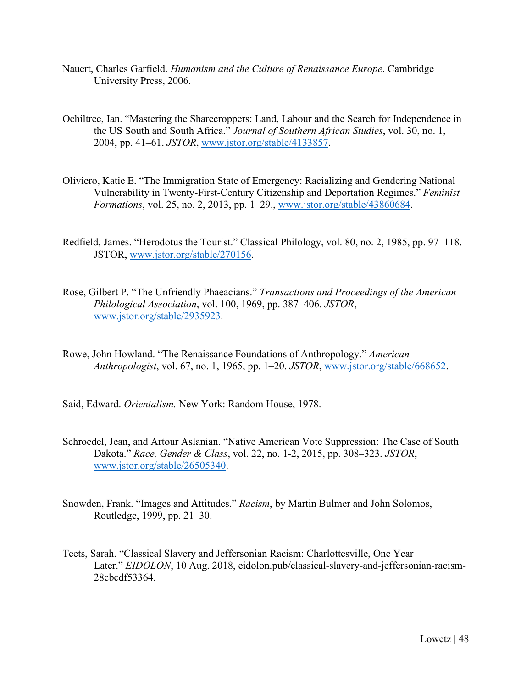- Nauert, Charles Garfield. *Humanism and the Culture of Renaissance Europe*. Cambridge University Press, 2006.
- Ochiltree, Ian. "Mastering the Sharecroppers: Land, Labour and the Search for Independence in the US South and South Africa." *Journal of Southern African Studies*, vol. 30, no. 1, 2004, pp. 41–61. *JSTOR*, www.jstor.org/stable/4133857.
- Oliviero, Katie E. "The Immigration State of Emergency: Racializing and Gendering National Vulnerability in Twenty-First-Century Citizenship and Deportation Regimes." *Feminist Formations*, vol. 25, no. 2, 2013, pp. 1–29., www.jstor.org/stable/43860684.
- Redfield, James. "Herodotus the Tourist." Classical Philology, vol. 80, no. 2, 1985, pp. 97–118. JSTOR, www.jstor.org/stable/270156.
- Rose, Gilbert P. "The Unfriendly Phaeacians." *Transactions and Proceedings of the American Philological Association*, vol. 100, 1969, pp. 387–406. *JSTOR*, www.jstor.org/stable/2935923.
- Rowe, John Howland. "The Renaissance Foundations of Anthropology." *American Anthropologist*, vol. 67, no. 1, 1965, pp. 1–20. *JSTOR*, www.jstor.org/stable/668652.
- Said, Edward. *Orientalism.* New York: Random House, 1978.
- Schroedel, Jean, and Artour Aslanian. "Native American Vote Suppression: The Case of South Dakota." *Race, Gender & Class*, vol. 22, no. 1-2, 2015, pp. 308–323. *JSTOR*, www.jstor.org/stable/26505340.
- Snowden, Frank. "Images and Attitudes." *Racism*, by Martin Bulmer and John Solomos, Routledge, 1999, pp. 21–30.
- Teets, Sarah. "Classical Slavery and Jeffersonian Racism: Charlottesville, One Year Later." *EIDOLON*, 10 Aug. 2018, eidolon.pub/classical-slavery-and-jeffersonian-racism-28cbcdf53364.